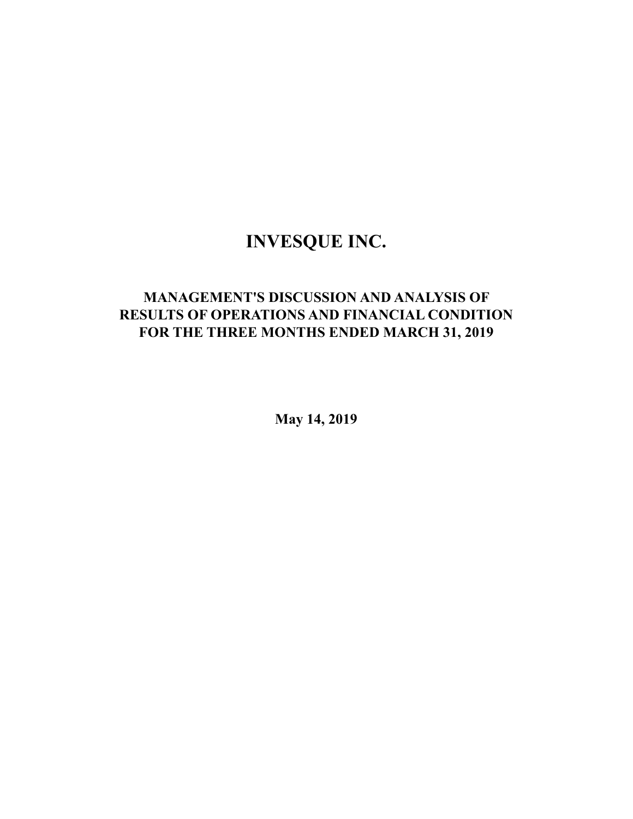# **INVESQUE INC.**

# **MANAGEMENT'S DISCUSSION AND ANALYSIS OF RESULTS OF OPERATIONS AND FINANCIAL CONDITION FOR THE THREE MONTHS ENDED MARCH 31, 2019**

**May 14, 2019**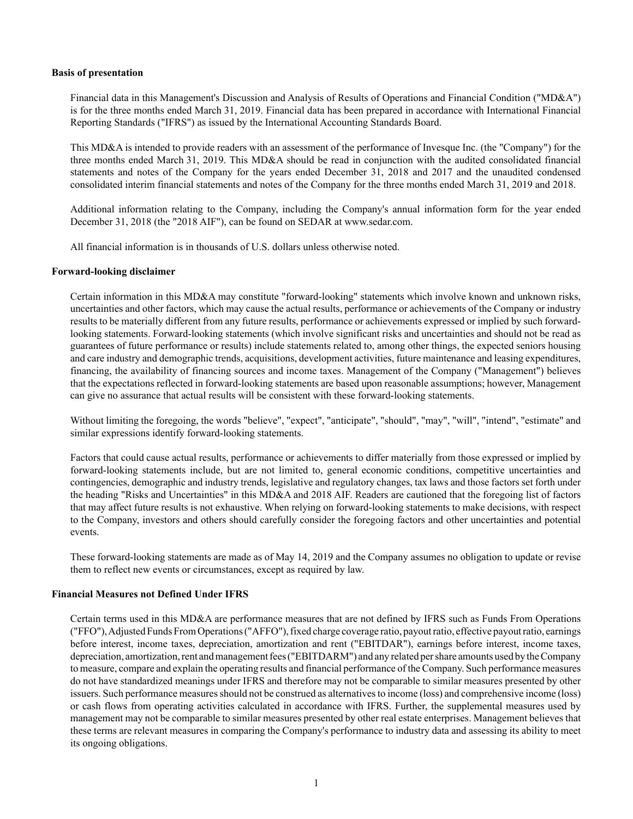#### **Basis of presentation**

Financial data in this Management's Discussion and Analysis of Results of Operations and Financial Condition ("MD&A") is for the three months ended March 31, 2019. Financial data has been prepared in accordance with International Financial Reporting Standards ("IFRS") as issued by the International Accounting Standards Board.

This MD&A is intended to provide readers with an assessment of the performance of Invesque Inc. (the "Company") for the three months ended March 31, 2019. This MD&A should be read in conjunction with the audited consolidated financial statements and notes of the Company for the years ended December 31, 2018 and 2017 and the unaudited condensed consolidated interim financial statements and notes of the Company for the three months ended March 31, 2019 and 2018.

Additional information relating to the Company, including the Company's annual information form for the year ended December 31, 2018 (the "2018 AIF"), can be found on SEDAR at www.sedar.com.

All financial information is in thousands of U.S. dollars unless otherwise noted.

## **Forward-looking disclaimer**

Certain information in this MD&A may constitute "forward-looking" statements which involve known and unknown risks, uncertainties and other factors, which may cause the actual results, performance or achievements of the Company or industry results to be materially different from any future results, performance or achievements expressed or implied by such forwardlooking statements. Forward-looking statements (which involve significant risks and uncertainties and should not be read as guarantees of future performance or results) include statements related to, among other things, the expected seniors housing and care industry and demographic trends, acquisitions, development activities, future maintenance and leasing expenditures, financing, the availability of financing sources and income taxes. Management of the Company ("Management") believes that the expectations reflected in forward-looking statements are based upon reasonable assumptions; however, Management can give no assurance that actual results will be consistent with these forward-looking statements.

Without limiting the foregoing, the words "believe", "expect", "anticipate", "should", "may", "will", "intend", "estimate" and similar expressions identify forward-looking statements.

Factors that could cause actual results, performance or achievements to differ materially from those expressed or implied by forward-looking statements include, but are not limited to, general economic conditions, competitive uncertainties and contingencies, demographic and industry trends, legislative and regulatory changes, tax laws and those factors set forth under the heading "Risks and Uncertainties" in this MD&A and 2018 AIF. Readers are cautioned that the foregoing list of factors that may affect future results is not exhaustive. When relying on forward-looking statements to make decisions, with respect to the Company, investors and others should carefully consider the foregoing factors and other uncertainties and potential events.

These forward-looking statements are made as of May 14, 2019 and the Company assumes no obligation to update or revise them to reflect new events or circumstances, except as required by law.

# **Financial Measures not Defined Under IFRS**

Certain terms used in this MD&A are performance measures that are not defined by IFRS such as Funds From Operations ("FFO"), Adjusted Funds From Operations ("AFFO"), fixed charge coverage ratio, payout ratio, effective payout ratio, earnings before interest, income taxes, depreciation, amortization and rent ("EBITDAR"), earnings before interest, income taxes, depreciation, amortization, rent and management fees ("EBITDARM") and any related per share amounts used by the Company to measure, compare and explain the operating results and financial performance of the Company. Such performance measures do not have standardized meanings under IFRS and therefore may not be comparable to similar measures presented by other issuers. Such performance measures should not be construed as alternatives to income (loss) and comprehensive income (loss) or cash flows from operating activities calculated in accordance with IFRS. Further, the supplemental measures used by management may not be comparable to similar measures presented by other real estate enterprises. Management believes that these terms are relevant measures in comparing the Company's performance to industry data and assessing its ability to meet its ongoing obligations.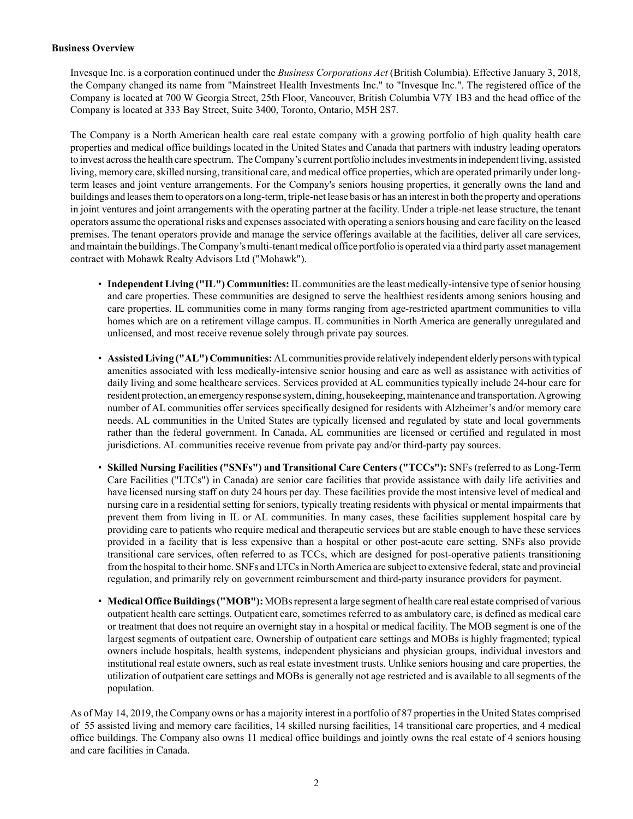# **Business Overview**

Invesque Inc. is a corporation continued under the *Business Corporations Act* (British Columbia). Effective January 3, 2018, the Company changed its name from "Mainstreet Health Investments Inc." to "Invesque Inc.". The registered office of the Company is located at 700 W Georgia Street, 25th Floor, Vancouver, British Columbia V7Y 1B3 and the head office of the Company is located at 333 Bay Street, Suite 3400, Toronto, Ontario, M5H 2S7.

The Company is a North American health care real estate company with a growing portfolio of high quality health care properties and medical office buildings located in the United States and Canada that partners with industry leading operators to invest across the health care spectrum. The Company's current portfolio includes investments in independent living, assisted living, memory care, skilled nursing, transitional care, and medical office properties, which are operated primarily under longterm leases and joint venture arrangements. For the Company's seniors housing properties, it generally owns the land and buildings and leases them to operators on a long-term, triple-net lease basis or has an interest in both the property and operations in joint ventures and joint arrangements with the operating partner at the facility. Under a triple-net lease structure, the tenant operators assume the operational risks and expenses associated with operating a seniors housing and care facility on the leased premises. The tenant operators provide and manage the service offerings available at the facilities, deliver all care services, and maintain the buildings. The Company's multi-tenant medical office portfolio is operated via a third party asset management contract with Mohawk Realty Advisors Ltd ("Mohawk").

- **Independent Living ("IL") Communities:** ILcommunities are the least medically-intensive type of senior housing and care properties. These communities are designed to serve the healthiest residents among seniors housing and care properties. IL communities come in many forms ranging from age-restricted apartment communities to villa homes which are on a retirement village campus. IL communities in North America are generally unregulated and unlicensed, and most receive revenue solely through private pay sources.
- **Assisted Living ("AL") Communities:** ALcommunities provide relatively independent elderly persons with typical amenities associated with less medically-intensive senior housing and care as well as assistance with activities of daily living and some healthcare services. Services provided at AL communities typically include 24-hour care for resident protection, an emergency response system, dining, housekeeping, maintenance and transportation. Agrowing number of AL communities offer services specifically designed for residents with Alzheimer's and/or memory care needs. AL communities in the United States are typically licensed and regulated by state and local governments rather than the federal government. In Canada, AL communities are licensed or certified and regulated in most jurisdictions. AL communities receive revenue from private pay and/or third-party pay sources.
- **Skilled Nursing Facilities ("SNFs") and Transitional Care Centers ("TCCs"):** SNFs (referred to as Long-Term Care Facilities ("LTCs") in Canada) are senior care facilities that provide assistance with daily life activities and have licensed nursing staff on duty 24 hours per day. These facilities provide the most intensive level of medical and nursing care in a residential setting for seniors, typically treating residents with physical or mental impairments that prevent them from living in IL or AL communities. In many cases, these facilities supplement hospital care by providing care to patients who require medical and therapeutic services but are stable enough to have these services provided in a facility that is less expensive than a hospital or other post-acute care setting. SNFs also provide transitional care services, often referred to as TCCs, which are designed for post-operative patients transitioning from the hospital to their home. SNFs and LTCs in North America are subject to extensive federal, state and provincial regulation, and primarily rely on government reimbursement and third-party insurance providers for payment.
- **Medical Office Buildings ("MOB"):** MOBs represent a large segment of health care real estate comprised of various outpatient health care settings. Outpatient care, sometimes referred to as ambulatory care, is defined as medical care or treatment that does not require an overnight stay in a hospital or medical facility. The MOB segment is one of the largest segments of outpatient care. Ownership of outpatient care settings and MOBs is highly fragmented; typical owners include hospitals, health systems, independent physicians and physician groups, individual investors and institutional real estate owners, such as real estate investment trusts. Unlike seniors housing and care properties, the utilization of outpatient care settings and MOBs is generally not age restricted and is available to all segments of the population.

As of May 14, 2019, the Company owns or has a majority interest in a portfolio of 87 properties in the United States comprised of 55 assisted living and memory care facilities, 14 skilled nursing facilities, 14 transitional care properties, and 4 medical office buildings. The Company also owns 11 medical office buildings and jointly owns the real estate of 4 seniors housing and care facilities in Canada.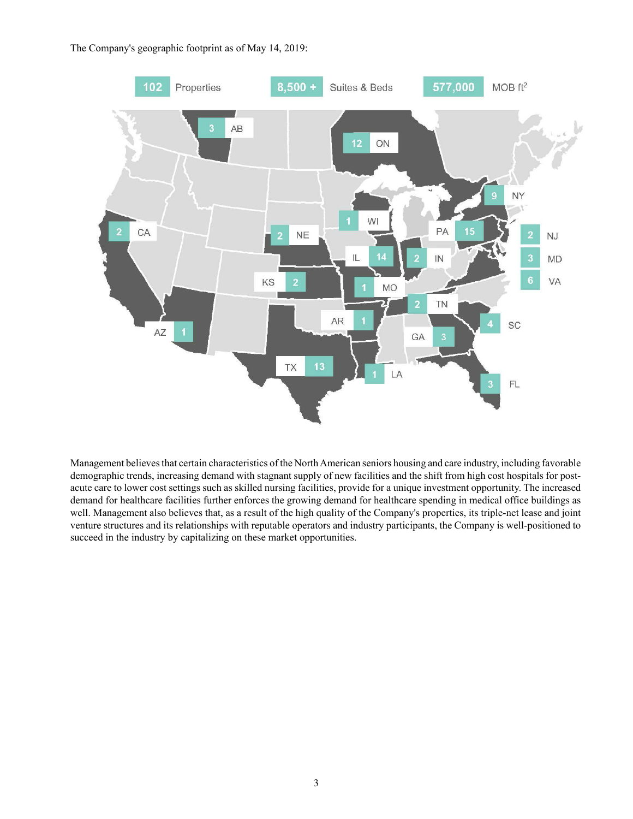The Company's geographic footprint as of May 14, 2019:



Management believes that certain characteristics of the North American seniors housing and care industry, including favorable demographic trends, increasing demand with stagnant supply of new facilities and the shift from high cost hospitals for postacute care to lower cost settings such as skilled nursing facilities, provide for a unique investment opportunity. The increased demand for healthcare facilities further enforces the growing demand for healthcare spending in medical office buildings as well. Management also believes that, as a result of the high quality of the Company's properties, its triple-net lease and joint venture structures and its relationships with reputable operators and industry participants, the Company is well-positioned to succeed in the industry by capitalizing on these market opportunities.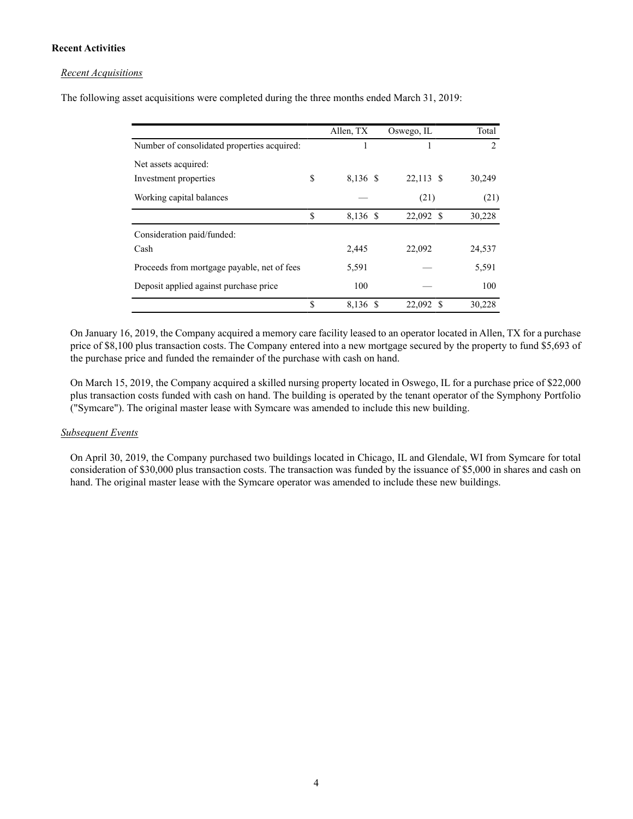# **Recent Activities**

## *Recent Acquisitions*

The following asset acquisitions were completed during the three months ended March 31, 2019:

|                                             |               | Allen, TX | Oswego, IL | Total          |
|---------------------------------------------|---------------|-----------|------------|----------------|
| Number of consolidated properties acquired: |               |           |            | $\mathfrak{D}$ |
| Net assets acquired:                        |               |           |            |                |
| Investment properties                       | S             | 8,136 \$  | 22,113 \$  | 30,249         |
| Working capital balances                    |               |           | (21)       | (21)           |
|                                             | <sup>\$</sup> | 8,136 \$  | 22,092 \$  | 30,228         |
| Consideration paid/funded:                  |               |           |            |                |
| Cash                                        |               | 2,445     | 22,092     | 24,537         |
| Proceeds from mortgage payable, net of fees |               | 5,591     |            | 5,591          |
| Deposit applied against purchase price      |               | 100       |            | 100            |
|                                             | <sup>\$</sup> | 8,136 \$  | 22,092 \$  | 30,228         |

On January 16, 2019, the Company acquired a memory care facility leased to an operator located in Allen, TX for a purchase price of \$8,100 plus transaction costs. The Company entered into a new mortgage secured by the property to fund \$5,693 of the purchase price and funded the remainder of the purchase with cash on hand.

On March 15, 2019, the Company acquired a skilled nursing property located in Oswego, IL for a purchase price of \$22,000 plus transaction costs funded with cash on hand. The building is operated by the tenant operator of the Symphony Portfolio ("Symcare"). The original master lease with Symcare was amended to include this new building.

#### *Subsequent Events*

On April 30, 2019, the Company purchased two buildings located in Chicago, IL and Glendale, WI from Symcare for total consideration of \$30,000 plus transaction costs. The transaction was funded by the issuance of \$5,000 in shares and cash on hand. The original master lease with the Symcare operator was amended to include these new buildings.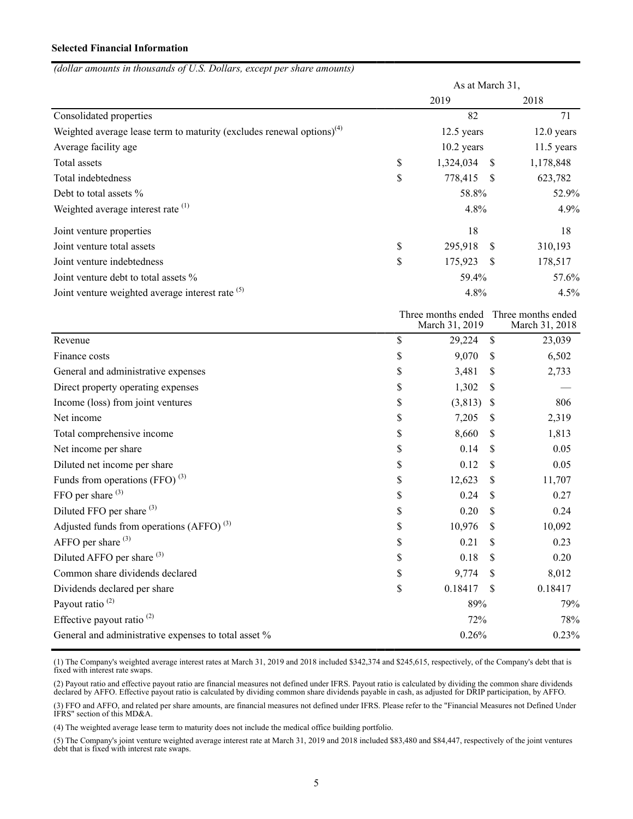# **Selected Financial Information**

|  | (dollar amounts in thousands of U.S. Dollars, except per share amounts) |
|--|-------------------------------------------------------------------------|
|  |                                                                         |

|                                                                                   | As at March 31, |               |                                                         |
|-----------------------------------------------------------------------------------|-----------------|---------------|---------------------------------------------------------|
|                                                                                   | 2019            | 2018          |                                                         |
| Consolidated properties                                                           | 82              |               | 71                                                      |
| Weighted average lease term to maturity (excludes renewal options) <sup>(4)</sup> | 12.5 years      |               | 12.0 years                                              |
| Average facility age                                                              | $10.2$ years    |               | $11.5$ years                                            |
| Total assets                                                                      | \$<br>1,324,034 | -S            | 1,178,848                                               |
| Total indebtedness                                                                | \$<br>778,415   | - S           | 623,782                                                 |
| Debt to total assets %                                                            | 58.8%           |               | 52.9%                                                   |
| Weighted average interest rate <sup>(1)</sup>                                     | 4.8%            |               | 4.9%                                                    |
| Joint venture properties                                                          | 18              |               | 18                                                      |
| Joint venture total assets                                                        | \$<br>295,918   | $\mathcal{S}$ | 310,193                                                 |
| Joint venture indebtedness                                                        | \$<br>175,923   | - \$          | 178,517                                                 |
| Joint venture debt to total assets %                                              | 59.4%           |               | 57.6%                                                   |
| Joint venture weighted average interest rate <sup>(5)</sup>                       | 4.8%            |               | 4.5%                                                    |
|                                                                                   | March 31, 2019  |               | Three months ended Three months ended<br>March 31, 2018 |
| Revenue                                                                           | \$<br>29,224    | $\mathbb{S}$  | 23,039                                                  |
| Finance costs                                                                     | \$<br>9,070     | \$            | 6,502                                                   |
| General and administrative expenses                                               | \$<br>3,481     | \$            | 2,733                                                   |
| Direct property operating expenses                                                | \$<br>1,302     | \$            |                                                         |
| Income (loss) from joint ventures                                                 | \$<br>(3,813)   | -S            | 806                                                     |
| Net income                                                                        | \$<br>7,205     | S             | 2,319                                                   |
| Total comprehensive income                                                        | \$<br>8,660     | S             | 1,813                                                   |
| Net income per share                                                              | \$<br>0.14      | \$            | 0.05                                                    |
| Diluted net income per share                                                      | \$<br>0.12      | \$            | 0.05                                                    |
| Funds from operations (FFO) <sup>(3)</sup>                                        | \$<br>12,623    | \$            | 11,707                                                  |
| FFO per share <sup>(3)</sup>                                                      | \$<br>0.24      | \$            | 0.27                                                    |
| Diluted FFO per share <sup>(3)</sup>                                              | \$<br>0.20      | \$            | 0.24                                                    |
| Adjusted funds from operations (AFFO) $^{(3)}$                                    | \$<br>10,976    | \$            | 10,092                                                  |
| AFFO per share $(3)$                                                              | \$<br>0.21      | \$            | 0.23                                                    |
| Diluted AFFO per share (3)                                                        | \$<br>0.18      | -S            | 0.20                                                    |
| Common share dividends declared                                                   | \$<br>9,774     | <sup>S</sup>  | 8,012                                                   |
| Dividends declared per share                                                      | \$<br>0.18417   | -S            | 0.18417                                                 |
| Payout ratio <sup>(2)</sup>                                                       | 89%             |               | 79%                                                     |
| Effective payout ratio <sup>(2)</sup>                                             | 72%             |               | 78%                                                     |
| General and administrative expenses to total asset %                              | 0.26%           |               | 0.23%                                                   |

(1) The Company's weighted average interest rates at March 31, 2019 and 2018 included \$342,374 and \$245,615, respectively, of the Company's debt that is fixed with interest rate swaps.

(2) Payout ratio and effective payout ratio are financial measures not defined under IFRS. Payout ratio is calculated by dividing the common share dividends declared by AFFO. Effective payout ratio is calculated by dividing common share dividends payable in cash, as adjusted for DRIP participation, by AFFO.

(3) FFO and AFFO, and related per share amounts, are financial measures not defined under IFRS. Please refer to the "Financial Measures not Defined Under IFRS" section of this MD&A.

(4) The weighted average lease term to maturity does not include the medical office building portfolio.

(5) The Company's joint venture weighted average interest rate at March 31, 2019 and 2018 included \$83,480 and \$84,447, respectively of the joint ventures debt that is fixed with interest rate swaps.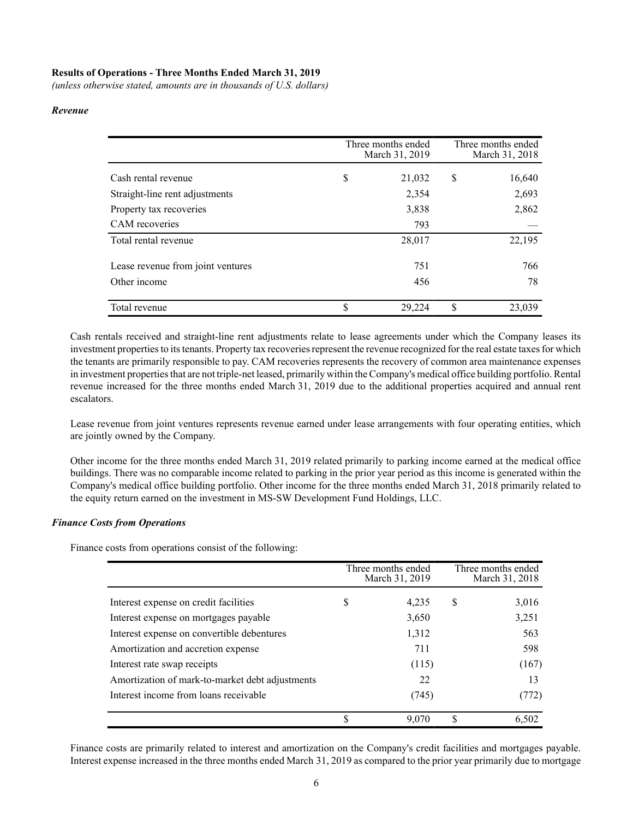# **Results of Operations - Three Months Ended March 31, 2019**

*(unless otherwise stated, amounts are in thousands of U.S. dollars)*

#### *Revenue*

|                                   | Three months ended<br>March 31, 2019 | Three months ended<br>March 31, 2018 |
|-----------------------------------|--------------------------------------|--------------------------------------|
|                                   |                                      |                                      |
| Cash rental revenue               | \$<br>21,032                         | \$<br>16,640                         |
| Straight-line rent adjustments    | 2,354                                | 2,693                                |
| Property tax recoveries           | 3,838                                | 2,862                                |
| CAM recoveries                    | 793                                  |                                      |
| Total rental revenue              | 28,017                               | 22,195                               |
|                                   |                                      |                                      |
| Lease revenue from joint ventures | 751                                  | 766                                  |
| Other income                      | 456                                  | 78                                   |
|                                   |                                      |                                      |
| Total revenue                     | \$<br>29,224                         | \$<br>23,039                         |

Cash rentals received and straight-line rent adjustments relate to lease agreements under which the Company leases its investment properties to its tenants. Property tax recoveries represent the revenue recognized for the real estate taxes for which the tenants are primarily responsible to pay. CAM recoveries represents the recovery of common area maintenance expenses in investment properties that are not triple-net leased, primarily within the Company's medical office building portfolio. Rental revenue increased for the three months ended March 31, 2019 due to the additional properties acquired and annual rent escalators.

Lease revenue from joint ventures represents revenue earned under lease arrangements with four operating entities, which are jointly owned by the Company.

Other income for the three months ended March 31, 2019 related primarily to parking income earned at the medical office buildings. There was no comparable income related to parking in the prior year period as this income is generated within the Company's medical office building portfolio. Other income for the three months ended March 31, 2018 primarily related to the equity return earned on the investment in MS-SW Development Fund Holdings, LLC.

#### *Finance Costs from Operations*

Finance costs from operations consist of the following:

|                                                 |   | Three months ended<br>March 31, 2019 |    | Three months ended<br>March 31, 2018 |
|-------------------------------------------------|---|--------------------------------------|----|--------------------------------------|
| Interest expense on credit facilities           | S | 4.235                                | S  | 3,016                                |
| Interest expense on mortgages payable           |   | 3,650                                |    | 3,251                                |
| Interest expense on convertible debentures      |   | 1,312                                |    | 563                                  |
| Amortization and accretion expense              |   | 711                                  |    | 598                                  |
| Interest rate swap receipts                     |   | (115)                                |    | (167)                                |
| Amortization of mark-to-market debt adjustments |   | 22                                   |    | 13                                   |
| Interest income from loans receivable           |   | (745)                                |    | (772)                                |
|                                                 | S | 9.070                                | S. | 6.502                                |

Finance costs are primarily related to interest and amortization on the Company's credit facilities and mortgages payable. Interest expense increased in the three months ended March 31, 2019 as compared to the prior year primarily due to mortgage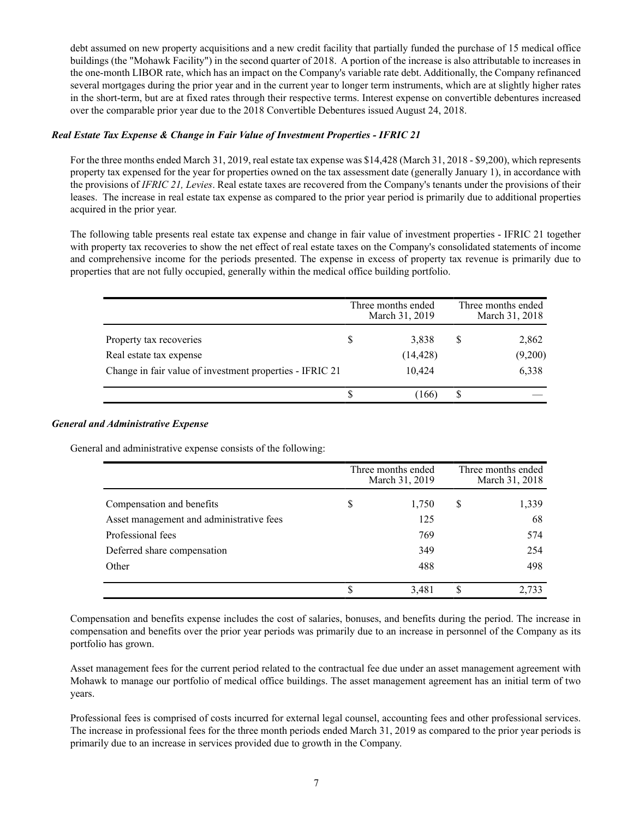debt assumed on new property acquisitions and a new credit facility that partially funded the purchase of 15 medical office buildings (the "Mohawk Facility") in the second quarter of 2018. A portion of the increase is also attributable to increases in the one-month LIBOR rate, which has an impact on the Company's variable rate debt. Additionally, the Company refinanced several mortgages during the prior year and in the current year to longer term instruments, which are at slightly higher rates in the short-term, but are at fixed rates through their respective terms. Interest expense on convertible debentures increased over the comparable prior year due to the 2018 Convertible Debentures issued August 24, 2018.

# *Real Estate Tax Expense & Change in Fair Value of Investment Properties - IFRIC 21*

For the three months ended March 31, 2019, real estate tax expense was \$14,428 (March 31, 2018 - \$9,200), which represents property tax expensed for the year for properties owned on the tax assessment date (generally January 1), in accordance with the provisions of *IFRIC 21, Levies*. Real estate taxes are recovered from the Company's tenants under the provisions of their leases. The increase in real estate tax expense as compared to the prior year period is primarily due to additional properties acquired in the prior year.

The following table presents real estate tax expense and change in fair value of investment properties - IFRIC 21 together with property tax recoveries to show the net effect of real estate taxes on the Company's consolidated statements of income and comprehensive income for the periods presented. The expense in excess of property tax revenue is primarily due to properties that are not fully occupied, generally within the medical office building portfolio.

|                                                          | Three months ended<br>March 31, 2019 | Three months ended<br>March 31, 2018 |         |  |  |  |
|----------------------------------------------------------|--------------------------------------|--------------------------------------|---------|--|--|--|
| Property tax recoveries                                  | 3.838                                | S                                    | 2,862   |  |  |  |
| Real estate tax expense                                  | (14, 428)                            |                                      | (9,200) |  |  |  |
| Change in fair value of investment properties - IFRIC 21 | 10.424                               |                                      | 6,338   |  |  |  |
|                                                          | 166                                  | ¢                                    |         |  |  |  |

# *General and Administrative Expense*

General and administrative expense consists of the following:

|                                          |    | Three months ended<br>March 31, 2019 |    | Three months ended<br>March 31, 2018 |
|------------------------------------------|----|--------------------------------------|----|--------------------------------------|
| Compensation and benefits                | \$ | 1,750                                | \$ | 1,339                                |
| Asset management and administrative fees |    | 125                                  |    | 68                                   |
| Professional fees                        |    | 769                                  |    | 574                                  |
| Deferred share compensation              |    | 349                                  |    | 254                                  |
| Other                                    |    | 488                                  |    | 498                                  |
|                                          | S  | 3,481                                | S  | 2.733                                |

Compensation and benefits expense includes the cost of salaries, bonuses, and benefits during the period. The increase in compensation and benefits over the prior year periods was primarily due to an increase in personnel of the Company as its portfolio has grown.

Asset management fees for the current period related to the contractual fee due under an asset management agreement with Mohawk to manage our portfolio of medical office buildings. The asset management agreement has an initial term of two years.

Professional fees is comprised of costs incurred for external legal counsel, accounting fees and other professional services. The increase in professional fees for the three month periods ended March 31, 2019 as compared to the prior year periods is primarily due to an increase in services provided due to growth in the Company.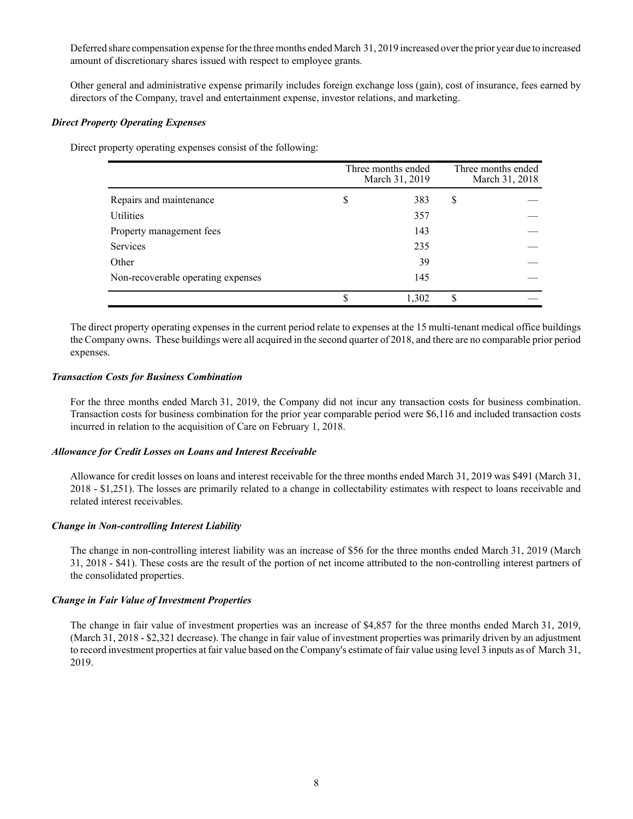Deferred share compensation expense for the three months ended March 31, 2019 increased over the prior year due to increased amount of discretionary shares issued with respect to employee grants.

Other general and administrative expense primarily includes foreign exchange loss (gain), cost of insurance, fees earned by directors of the Company, travel and entertainment expense, investor relations, and marketing.

## *Direct Property Operating Expenses*

Direct property operating expenses consist of the following:

|                                    | Three months ended<br>March 31, 2019 |    | Three months ended<br>March 31, 2018 |
|------------------------------------|--------------------------------------|----|--------------------------------------|
| Repairs and maintenance            | \$<br>383                            | \$ |                                      |
| Utilities                          | 357                                  |    |                                      |
| Property management fees           | 143                                  |    |                                      |
| <b>Services</b>                    | 235                                  |    |                                      |
| Other                              | 39                                   |    |                                      |
| Non-recoverable operating expenses | 145                                  |    |                                      |
|                                    | 1,302                                | S  |                                      |

The direct property operating expenses in the current period relate to expenses at the 15 multi-tenant medical office buildings the Company owns. These buildings were all acquired in the second quarter of 2018, and there are no comparable prior period expenses.

# *Transaction Costs for Business Combination*

For the three months ended March 31, 2019, the Company did not incur any transaction costs for business combination. Transaction costs for business combination for the prior year comparable period were \$6,116 and included transaction costs incurred in relation to the acquisition of Care on February 1, 2018.

#### *Allowance for Credit Losses on Loans and Interest Receivable*

Allowance for credit losses on loans and interest receivable for the three months ended March 31, 2019 was \$491 (March 31, 2018 - \$1,251). The losses are primarily related to a change in collectability estimates with respect to loans receivable and related interest receivables.

# *Change in Non-controlling Interest Liability*

The change in non-controlling interest liability was an increase of \$56 for the three months ended March 31, 2019 (March 31, 2018 - \$41). These costs are the result of the portion of net income attributed to the non-controlling interest partners of the consolidated properties.

# *Change in Fair Value of Investment Properties*

The change in fair value of investment properties was an increase of \$4,857 for the three months ended March 31, 2019, (March 31, 2018 - \$2,321 decrease). The change in fair value of investment properties was primarily driven by an adjustment to record investment properties at fair value based on the Company's estimate of fair value using level 3 inputs as of March 31, 2019.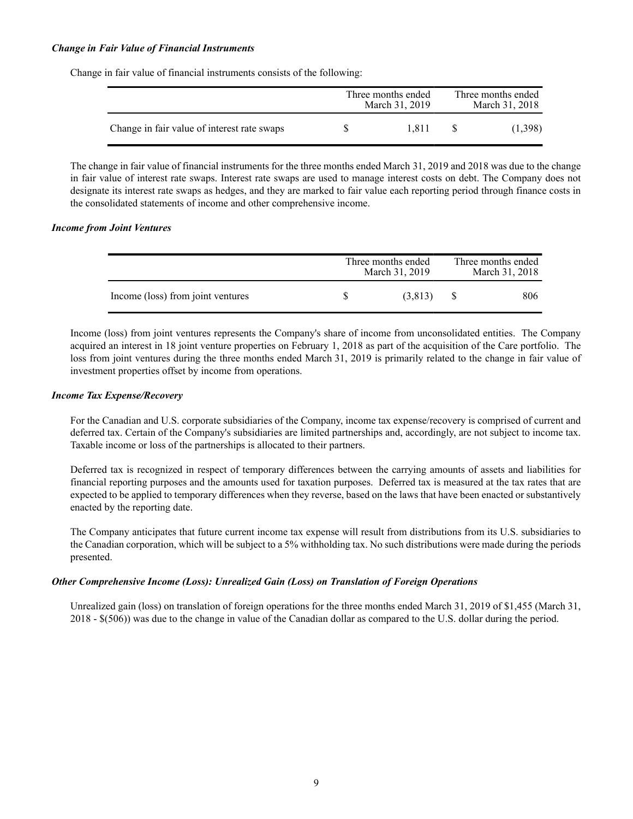# *Change in Fair Value of Financial Instruments*

Change in fair value of financial instruments consists of the following:

|                                             | Three months ended<br>March 31, 2019 | Three months ended<br>March 31, 2018 |         |  |  |
|---------------------------------------------|--------------------------------------|--------------------------------------|---------|--|--|
| Change in fair value of interest rate swaps | 1.811                                |                                      | (1,398) |  |  |

The change in fair value of financial instruments for the three months ended March 31, 2019 and 2018 was due to the change in fair value of interest rate swaps. Interest rate swaps are used to manage interest costs on debt. The Company does not designate its interest rate swaps as hedges, and they are marked to fair value each reporting period through finance costs in the consolidated statements of income and other comprehensive income.

## *Income from Joint Ventures*

|                                   | Three months ended<br>March 31, 2019 | Three months ended<br>March 31, 2018 |
|-----------------------------------|--------------------------------------|--------------------------------------|
| Income (loss) from joint ventures | (3,813)                              | 806                                  |

Income (loss) from joint ventures represents the Company's share of income from unconsolidated entities. The Company acquired an interest in 18 joint venture properties on February 1, 2018 as part of the acquisition of the Care portfolio. The loss from joint ventures during the three months ended March 31, 2019 is primarily related to the change in fair value of investment properties offset by income from operations.

#### *Income Tax Expense/Recovery*

For the Canadian and U.S. corporate subsidiaries of the Company, income tax expense/recovery is comprised of current and deferred tax. Certain of the Company's subsidiaries are limited partnerships and, accordingly, are not subject to income tax. Taxable income or loss of the partnerships is allocated to their partners.

Deferred tax is recognized in respect of temporary differences between the carrying amounts of assets and liabilities for financial reporting purposes and the amounts used for taxation purposes. Deferred tax is measured at the tax rates that are expected to be applied to temporary differences when they reverse, based on the laws that have been enacted or substantively enacted by the reporting date.

The Company anticipates that future current income tax expense will result from distributions from its U.S. subsidiaries to the Canadian corporation, which will be subject to a 5% withholding tax. No such distributions were made during the periods presented.

#### *Other Comprehensive Income (Loss): Unrealized Gain (Loss) on Translation of Foreign Operations*

Unrealized gain (loss) on translation of foreign operations for the three months ended March 31, 2019 of \$1,455 (March 31, 2018 - \$(506)) was due to the change in value of the Canadian dollar as compared to the U.S. dollar during the period.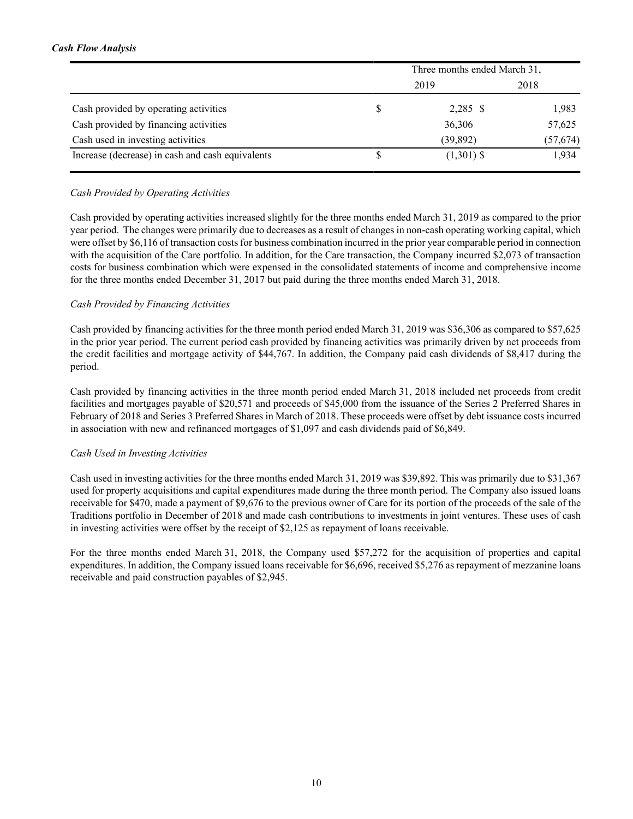# *Cash Flow Analysis*

|                                                  | Three months ended March 31, |           |
|--------------------------------------------------|------------------------------|-----------|
|                                                  | 2019                         | 2018      |
| Cash provided by operating activities            | $2,285$ \$                   | 1,983     |
| Cash provided by financing activities            | 36,306                       | 57,625    |
| Cash used in investing activities                | (39, 892)                    | (57, 674) |
| Increase (decrease) in cash and cash equivalents | $(1,301)$ \$                 | 1,934     |

# *Cash Provided by Operating Activities*

Cash provided by operating activities increased slightly for the three months ended March 31, 2019 as compared to the prior year period. The changes were primarily due to decreases as a result of changes in non-cash operating working capital, which were offset by \$6,116 of transaction costs for business combination incurred in the prior year comparable period in connection with the acquisition of the Care portfolio. In addition, for the Care transaction, the Company incurred \$2,073 of transaction costs for business combination which were expensed in the consolidated statements of income and comprehensive income for the three months ended December 31, 2017 but paid during the three months ended March 31, 2018.

# *Cash Provided by Financing Activities*

Cash provided by financing activities for the three month period ended March 31, 2019 was \$36,306 as compared to \$57,625 in the prior year period. The current period cash provided by financing activities was primarily driven by net proceeds from the credit facilities and mortgage activity of \$44,767. In addition, the Company paid cash dividends of \$8,417 during the period.

Cash provided by financing activities in the three month period ended March 31, 2018 included net proceeds from credit facilities and mortgages payable of \$20,571 and proceeds of \$45,000 from the issuance of the Series 2 Preferred Shares in February of 2018 and Series 3 Preferred Shares in March of 2018. These proceeds were offset by debt issuance costs incurred in association with new and refinanced mortgages of \$1,097 and cash dividends paid of \$6,849.

# *Cash Used in Investing Activities*

Cash used in investing activities for the three months ended March 31, 2019 was \$39,892. This was primarily due to \$31,367 used for property acquisitions and capital expenditures made during the three month period. The Company also issued loans receivable for \$470, made a payment of \$9,676 to the previous owner of Care for its portion of the proceeds of the sale of the Traditions portfolio in December of 2018 and made cash contributions to investments in joint ventures. These uses of cash in investing activities were offset by the receipt of \$2,125 as repayment of loans receivable.

For the three months ended March 31, 2018, the Company used \$57,272 for the acquisition of properties and capital expenditures. In addition, the Company issued loans receivable for \$6,696, received \$5,276 as repayment of mezzanine loans receivable and paid construction payables of \$2,945.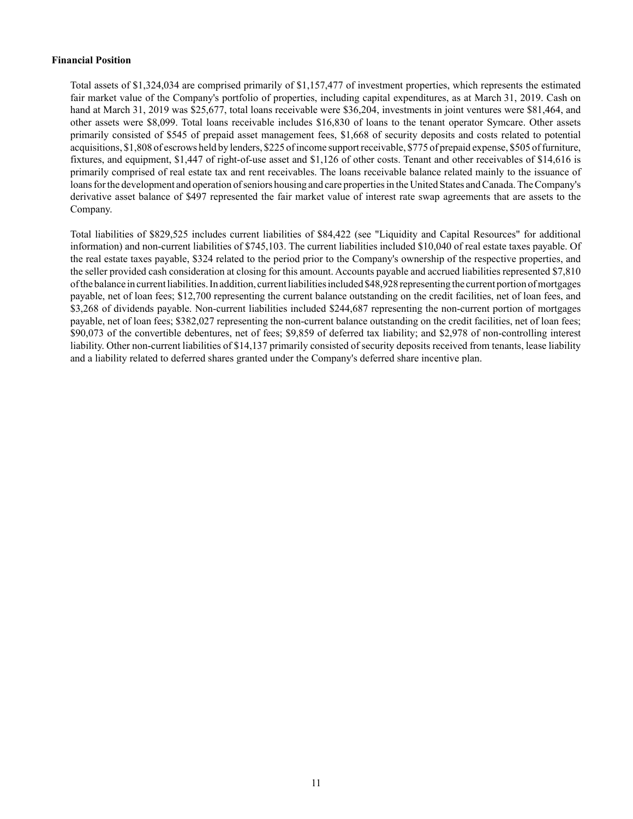# **Financial Position**

Total assets of \$1,324,034 are comprised primarily of \$1,157,477 of investment properties, which represents the estimated fair market value of the Company's portfolio of properties, including capital expenditures, as at March 31, 2019. Cash on hand at March 31, 2019 was \$25,677, total loans receivable were \$36,204, investments in joint ventures were \$81,464, and other assets were \$8,099. Total loans receivable includes \$16,830 of loans to the tenant operator Symcare. Other assets primarily consisted of \$545 of prepaid asset management fees, \$1,668 of security deposits and costs related to potential acquisitions, \$1,808 of escrows held by lenders, \$225 of income support receivable, \$775 of prepaid expense, \$505 of furniture, fixtures, and equipment, \$1,447 of right-of-use asset and \$1,126 of other costs. Tenant and other receivables of \$14,616 is primarily comprised of real estate tax and rent receivables. The loans receivable balance related mainly to the issuance of loans for the development and operation of seniors housing and care properties in the United States and Canada. The Company's derivative asset balance of \$497 represented the fair market value of interest rate swap agreements that are assets to the Company.

Total liabilities of \$829,525 includes current liabilities of \$84,422 (see "Liquidity and Capital Resources" for additional information) and non-current liabilities of \$745,103. The current liabilities included \$10,040 of real estate taxes payable. Of the real estate taxes payable, \$324 related to the period prior to the Company's ownership of the respective properties, and the seller provided cash consideration at closing for this amount. Accounts payable and accrued liabilities represented \$7,810 of the balance in current liabilities. In addition, current liabilities included \$48,928 representing the current portion of mortgages payable, net of loan fees; \$12,700 representing the current balance outstanding on the credit facilities, net of loan fees, and \$3,268 of dividends payable. Non-current liabilities included \$244,687 representing the non-current portion of mortgages payable, net of loan fees; \$382,027 representing the non-current balance outstanding on the credit facilities, net of loan fees; \$90,073 of the convertible debentures, net of fees; \$9,859 of deferred tax liability; and \$2,978 of non-controlling interest liability. Other non-current liabilities of \$14,137 primarily consisted of security deposits received from tenants, lease liability and a liability related to deferred shares granted under the Company's deferred share incentive plan.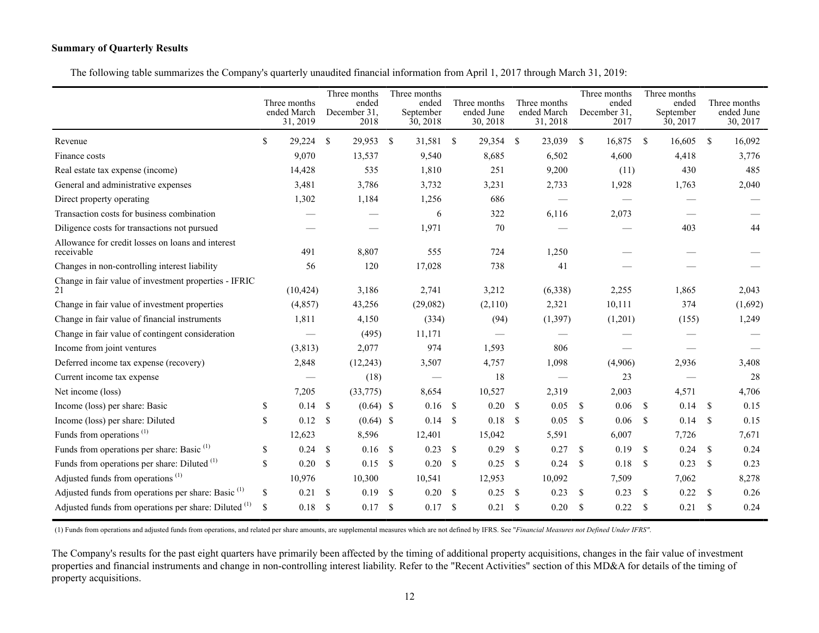# **Summary of Quarterly Results**

The following table summarizes the Company's quarterly unaudited financial information from April 1, 2017 through March 31, 2019:

|                                                                 | Three months<br>ended March<br>31, 2019 |               | Three months<br>ended<br>December 31.<br>2018 |                    | Three months<br>ended<br>September<br>30, 2018 |               | Three months<br>ended June<br>30, 2018 |      | Three months<br>ended March<br>31, 2018 |          | Three months<br>ended<br>December 31.<br>2017 |               | Three months<br>ended<br>September<br>30, 2017 |               | Three months<br>ended June<br>30, 2017 |
|-----------------------------------------------------------------|-----------------------------------------|---------------|-----------------------------------------------|--------------------|------------------------------------------------|---------------|----------------------------------------|------|-----------------------------------------|----------|-----------------------------------------------|---------------|------------------------------------------------|---------------|----------------------------------------|
| Revenue                                                         | \$<br>29,224                            | \$            | 29,953                                        | $\mathbf{s}$       | 31,581 \$                                      |               | 29,354 \$                              |      | 23,039                                  | <b>S</b> | 16,875                                        | -\$           | 16,605                                         | <sup>\$</sup> | 16,092                                 |
| Finance costs                                                   | 9,070                                   |               | 13,537                                        |                    | 9,540                                          |               | 8,685                                  |      | 6,502                                   |          | 4,600                                         |               | 4,418                                          |               | 3,776                                  |
| Real estate tax expense (income)                                | 14,428                                  |               | 535                                           |                    | 1,810                                          |               | 251                                    |      | 9,200                                   |          | (11)                                          |               | 430                                            |               | 485                                    |
| General and administrative expenses                             | 3,481                                   |               | 3,786                                         |                    | 3,732                                          |               | 3,231                                  |      | 2,733                                   |          | 1,928                                         |               | 1,763                                          |               | 2,040                                  |
| Direct property operating                                       | 1,302                                   |               | 1,184                                         |                    | 1,256                                          |               | 686                                    |      |                                         |          |                                               |               |                                                |               |                                        |
| Transaction costs for business combination                      |                                         |               |                                               |                    | 6                                              |               | 322                                    |      | 6,116                                   |          | 2,073                                         |               |                                                |               |                                        |
| Diligence costs for transactions not pursued                    |                                         |               |                                               |                    | 1,971                                          |               | 70                                     |      |                                         |          |                                               |               | 403                                            |               | 44                                     |
| Allowance for credit losses on loans and interest<br>receivable | 491                                     |               | 8,807                                         |                    | 555                                            |               | 724                                    |      | 1,250                                   |          |                                               |               |                                                |               |                                        |
| Changes in non-controlling interest liability                   | 56                                      |               | 120                                           |                    | 17,028                                         |               | 738                                    |      | 41                                      |          |                                               |               |                                                |               |                                        |
| Change in fair value of investment properties - IFRIC<br>21     | (10, 424)                               |               | 3,186                                         |                    | 2,741                                          |               | 3,212                                  |      | (6,338)                                 |          | 2,255                                         |               | 1,865                                          |               | 2,043                                  |
| Change in fair value of investment properties                   | (4, 857)                                |               | 43,256                                        |                    | (29,082)                                       |               | (2,110)                                |      | 2,321                                   |          | 10,111                                        |               | 374                                            |               | (1,692)                                |
| Change in fair value of financial instruments                   | 1,811                                   |               | 4,150                                         |                    | (334)                                          |               | (94)                                   |      | (1,397)                                 |          | (1,201)                                       |               | (155)                                          |               | 1,249                                  |
| Change in fair value of contingent consideration                |                                         |               | (495)                                         |                    | 11,171                                         |               |                                        |      |                                         |          |                                               |               |                                                |               |                                        |
| Income from joint ventures                                      | (3, 813)                                |               | 2,077                                         |                    | 974                                            |               | 1,593                                  |      | 806                                     |          |                                               |               |                                                |               |                                        |
| Deferred income tax expense (recovery)                          | 2,848                                   |               | (12, 243)                                     |                    | 3,507                                          |               | 4,757                                  |      | 1,098                                   |          | (4,906)                                       |               | 2,936                                          |               | 3,408                                  |
| Current income tax expense                                      |                                         |               | (18)                                          |                    |                                                |               | 18                                     |      |                                         |          | 23                                            |               |                                                |               | 28                                     |
| Net income (loss)                                               | 7,205                                   |               | (33,775)                                      |                    | 8,654                                          |               | 10,527                                 |      | 2,319                                   |          | 2,003                                         |               | 4,571                                          |               | 4,706                                  |
| Income (loss) per share: Basic                                  | \$<br>0.14                              | \$            | $(0.64)$ \$                                   |                    | 0.16                                           | \$            | $0.20$ \$                              |      | 0.05                                    | -S       | 0.06                                          | <sup>\$</sup> | 0.14                                           | -\$           | 0.15                                   |
| Income (loss) per share: Diluted                                | \$<br>0.12                              | $\mathbb{S}$  | $(0.64)$ \$                                   |                    | 0.14                                           | $\mathbf{\$}$ | 0.18                                   | - \$ | 0.05                                    | -S       | 0.06                                          | \$            | 0.14                                           | <sup>\$</sup> | 0.15                                   |
| Funds from operations <sup>(1)</sup>                            | 12,623                                  |               | 8,596                                         |                    | 12,401                                         |               | 15,042                                 |      | 5,591                                   |          | 6,007                                         |               | 7,726                                          |               | 7,671                                  |
| Funds from operations per share: Basic <sup>(1)</sup>           | \$<br>0.24                              | \$            | 0.16                                          | $\mathbf{\hat{s}}$ | 0.23                                           | <sup>\$</sup> | 0.29                                   | -S   | 0.27                                    | -S       | 0.19                                          | \$            | 0.24                                           | -S            | 0.24                                   |
| Funds from operations per share: Diluted <sup>(1)</sup>         | \$<br>0.20                              | <sup>\$</sup> | 0.15                                          | - \$               | 0.20                                           | <sup>\$</sup> | 0.25                                   | - \$ | 0.24                                    | -S       | 0.18                                          | <sup>\$</sup> | 0.23                                           | <sup>\$</sup> | 0.23                                   |
| Adjusted funds from operations <sup>(1)</sup>                   | 10,976                                  |               | 10,300                                        |                    | 10,541                                         |               | 12,953                                 |      | 10,092                                  |          | 7,509                                         |               | 7,062                                          |               | 8,278                                  |
| Adjusted funds from operations per share: Basic <sup>(1)</sup>  | \$<br>0.21                              | <sup>\$</sup> | 0.19                                          | - \$               | 0.20                                           | <sup>\$</sup> | 0.25                                   | -S   | 0.23                                    | -\$      | 0.23                                          | <sup>\$</sup> | 0.22                                           | <sup>\$</sup> | 0.26                                   |
| Adjusted funds from operations per share: Diluted (1)           | \$<br>0.18                              | <sup>\$</sup> | 0.17                                          | -S                 | 0.17                                           | -S            | 0.21                                   | - \$ | 0.20                                    | -S       | 0.22                                          | \$            | 0.21                                           | <sup>\$</sup> | 0.24                                   |

(1) Funds from operations and adjusted funds from operations, and related per share amounts, are supplemental measures which are not defined by IFRS. See "*Financial Measures not Defined Under IFRS"*.

The Company's results for the past eight quarters have primarily been affected by the timing of additional property acquisitions, changes in the fair value of investment properties and financial instruments and change in non-controlling interest liability. Refer to the "Recent Activities" section of this MD&A for details of the timing of property acquisitions.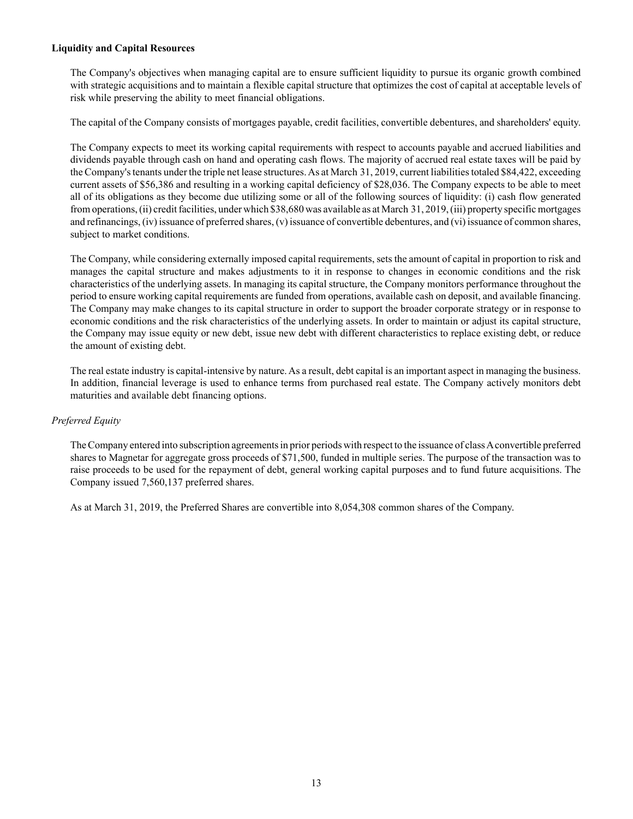# **Liquidity and Capital Resources**

The Company's objectives when managing capital are to ensure sufficient liquidity to pursue its organic growth combined with strategic acquisitions and to maintain a flexible capital structure that optimizes the cost of capital at acceptable levels of risk while preserving the ability to meet financial obligations.

The capital of the Company consists of mortgages payable, credit facilities, convertible debentures, and shareholders' equity.

The Company expects to meet its working capital requirements with respect to accounts payable and accrued liabilities and dividends payable through cash on hand and operating cash flows. The majority of accrued real estate taxes will be paid by the Company's tenants under the triple net lease structures. As at March 31, 2019, current liabilities totaled \$84,422, exceeding current assets of \$56,386 and resulting in a working capital deficiency of \$28,036. The Company expects to be able to meet all of its obligations as they become due utilizing some or all of the following sources of liquidity: (i) cash flow generated from operations, (ii) credit facilities, under which \$38,680 was available as at March 31, 2019, (iii) property specific mortgages and refinancings, (iv) issuance of preferred shares, (v) issuance of convertible debentures, and (vi) issuance of common shares, subject to market conditions.

The Company, while considering externally imposed capital requirements, sets the amount of capital in proportion to risk and manages the capital structure and makes adjustments to it in response to changes in economic conditions and the risk characteristics of the underlying assets. In managing its capital structure, the Company monitors performance throughout the period to ensure working capital requirements are funded from operations, available cash on deposit, and available financing. The Company may make changes to its capital structure in order to support the broader corporate strategy or in response to economic conditions and the risk characteristics of the underlying assets. In order to maintain or adjust its capital structure, the Company may issue equity or new debt, issue new debt with different characteristics to replace existing debt, or reduce the amount of existing debt.

The real estate industry is capital-intensive by nature. As a result, debt capital is an important aspect in managing the business. In addition, financial leverage is used to enhance terms from purchased real estate. The Company actively monitors debt maturities and available debt financing options.

# *Preferred Equity*

The Company entered into subscription agreements in prior periods with respect to the issuance of class Aconvertible preferred shares to Magnetar for aggregate gross proceeds of \$71,500, funded in multiple series. The purpose of the transaction was to raise proceeds to be used for the repayment of debt, general working capital purposes and to fund future acquisitions. The Company issued 7,560,137 preferred shares.

As at March 31, 2019, the Preferred Shares are convertible into 8,054,308 common shares of the Company.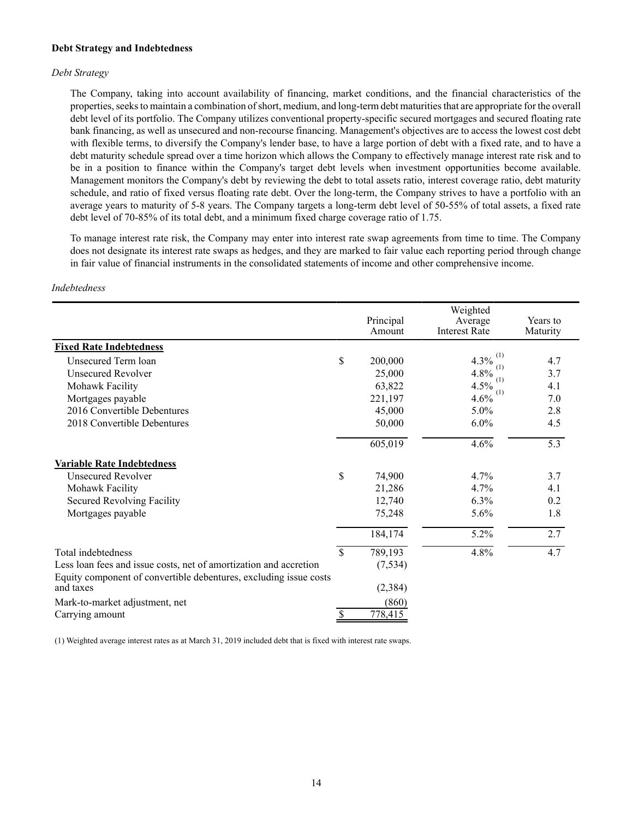#### **Debt Strategy and Indebtedness**

#### *Debt Strategy*

The Company, taking into account availability of financing, market conditions, and the financial characteristics of the properties, seeks to maintain a combination of short, medium, and long-term debt maturities that are appropriate for the overall debt level of its portfolio. The Company utilizes conventional property-specific secured mortgages and secured floating rate bank financing, as well as unsecured and non-recourse financing. Management's objectives are to access the lowest cost debt with flexible terms, to diversify the Company's lender base, to have a large portion of debt with a fixed rate, and to have a debt maturity schedule spread over a time horizon which allows the Company to effectively manage interest rate risk and to be in a position to finance within the Company's target debt levels when investment opportunities become available. Management monitors the Company's debt by reviewing the debt to total assets ratio, interest coverage ratio, debt maturity schedule, and ratio of fixed versus floating rate debt. Over the long-term, the Company strives to have a portfolio with an average years to maturity of 5-8 years. The Company targets a long-term debt level of 50-55% of total assets, a fixed rate debt level of 70-85% of its total debt, and a minimum fixed charge coverage ratio of 1.75.

To manage interest rate risk, the Company may enter into interest rate swap agreements from time to time. The Company does not designate its interest rate swaps as hedges, and they are marked to fair value each reporting period through change in fair value of financial instruments in the consolidated statements of income and other comprehensive income.

#### *Indebtedness*

|                                                                                |             | Principal<br>Amount | Weighted<br>Average<br><b>Interest Rate</b> | Years to<br>Maturity |
|--------------------------------------------------------------------------------|-------------|---------------------|---------------------------------------------|----------------------|
| <b>Fixed Rate Indebtedness</b>                                                 |             |                     |                                             |                      |
| Unsecured Term loan                                                            | \$          | 200,000             | 4.3%                                        | 4.7                  |
| <b>Unsecured Revolver</b>                                                      |             | 25,000              | (1)<br>4.8%                                 | 3.7                  |
| Mohawk Facility                                                                |             | 63,822              | (1)<br>4.5%                                 | 4.1                  |
| Mortgages payable                                                              |             | 221,197             | (1)<br>4.6%                                 | 7.0                  |
| 2016 Convertible Debentures                                                    |             | 45,000              | 5.0%                                        | 2.8                  |
| 2018 Convertible Debentures                                                    |             | 50,000              | 6.0%                                        | 4.5                  |
|                                                                                |             | 605,019             | 4.6%                                        | 5.3                  |
| <b>Variable Rate Indebtedness</b>                                              |             |                     |                                             |                      |
| <b>Unsecured Revolver</b>                                                      | \$          | 74,900              | $4.7\%$                                     | 3.7                  |
| Mohawk Facility                                                                |             | 21,286              | 4.7%                                        | 4.1                  |
| Secured Revolving Facility                                                     |             | 12,740              | 6.3%                                        | 0.2                  |
| Mortgages payable                                                              |             | 75,248              | 5.6%                                        | 1.8                  |
|                                                                                |             | 184,174             | 5.2%                                        | 2.7                  |
| Total indebtedness                                                             | $\mathbf S$ | 789,193             | 4.8%                                        | 4.7                  |
| Less loan fees and issue costs, net of amortization and accretion              |             | (7, 534)            |                                             |                      |
| Equity component of convertible debentures, excluding issue costs<br>and taxes |             | (2, 384)            |                                             |                      |
| Mark-to-market adjustment, net                                                 |             | (860)               |                                             |                      |
| Carrying amount                                                                |             | 778,415             |                                             |                      |

(1) Weighted average interest rates as at March 31, 2019 included debt that is fixed with interest rate swaps.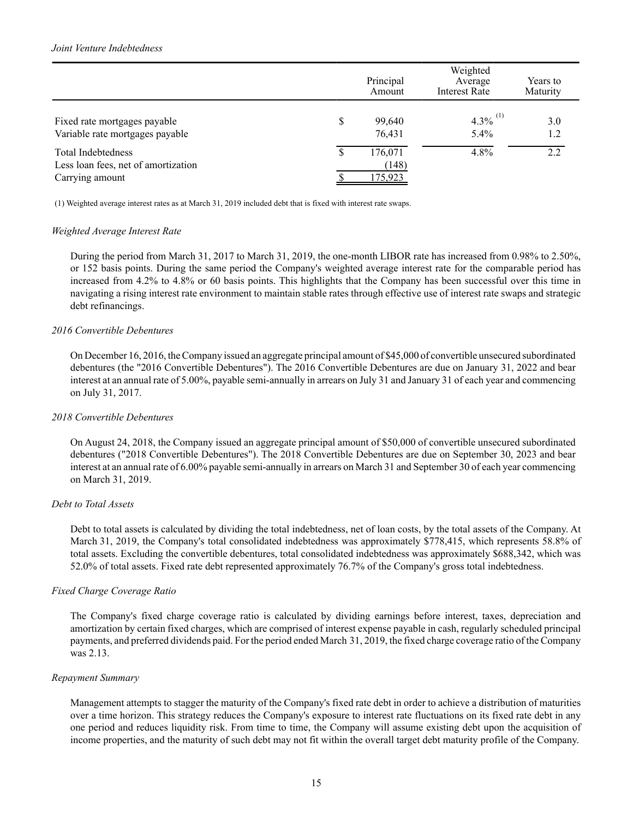## *Joint Venture Indebtedness*

|                                                                                     |    | Principal<br>Amount         | Weighted<br>Average<br><b>Interest Rate</b> | Years to<br>Maturity |
|-------------------------------------------------------------------------------------|----|-----------------------------|---------------------------------------------|----------------------|
| Fixed rate mortgages payable<br>Variable rate mortgages payable                     | \$ | 99,640<br>76,431            | $4.3\%$ <sup>(1)</sup><br>$5.4\%$           | 3.0<br>1.2           |
| <b>Total Indebtedness</b><br>Less loan fees, net of amortization<br>Carrying amount | D  | 176,071<br>(148)<br>175,923 | 4.8%                                        | 2.2                  |

(1) Weighted average interest rates as at March 31, 2019 included debt that is fixed with interest rate swaps.

#### *Weighted Average Interest Rate*

During the period from March 31, 2017 to March 31, 2019, the one-month LIBOR rate has increased from 0.98% to 2.50%, or 152 basis points. During the same period the Company's weighted average interest rate for the comparable period has increased from 4.2% to 4.8% or 60 basis points. This highlights that the Company has been successful over this time in navigating a rising interest rate environment to maintain stable rates through effective use of interest rate swaps and strategic debt refinancings.

#### *2016 Convertible Debentures*

On December 16, 2016, the Company issued an aggregate principal amount of \$45,000 of convertible unsecured subordinated debentures (the "2016 Convertible Debentures"). The 2016 Convertible Debentures are due on January 31, 2022 and bear interest at an annual rate of 5.00%, payable semi-annually in arrears on July 31 and January 31 of each year and commencing on July 31, 2017.

#### *2018 Convertible Debentures*

On August 24, 2018, the Company issued an aggregate principal amount of \$50,000 of convertible unsecured subordinated debentures ("2018 Convertible Debentures"). The 2018 Convertible Debentures are due on September 30, 2023 and bear interest at an annual rate of 6.00% payable semi-annually in arrears on March 31 and September 30 of each year commencing on March 31, 2019.

#### *Debt to Total Assets*

Debt to total assets is calculated by dividing the total indebtedness, net of loan costs, by the total assets of the Company. At March 31, 2019, the Company's total consolidated indebtedness was approximately \$778,415, which represents 58.8% of total assets. Excluding the convertible debentures, total consolidated indebtedness was approximately \$688,342, which was 52.0% of total assets. Fixed rate debt represented approximately 76.7% of the Company's gross total indebtedness.

# *Fixed Charge Coverage Ratio*

The Company's fixed charge coverage ratio is calculated by dividing earnings before interest, taxes, depreciation and amortization by certain fixed charges, which are comprised of interest expense payable in cash, regularly scheduled principal payments, and preferred dividends paid. For the period ended March 31, 2019, the fixed charge coverage ratio of the Company was 2.13.

#### *Repayment Summary*

Management attempts to stagger the maturity of the Company's fixed rate debt in order to achieve a distribution of maturities over a time horizon. This strategy reduces the Company's exposure to interest rate fluctuations on its fixed rate debt in any one period and reduces liquidity risk. From time to time, the Company will assume existing debt upon the acquisition of income properties, and the maturity of such debt may not fit within the overall target debt maturity profile of the Company.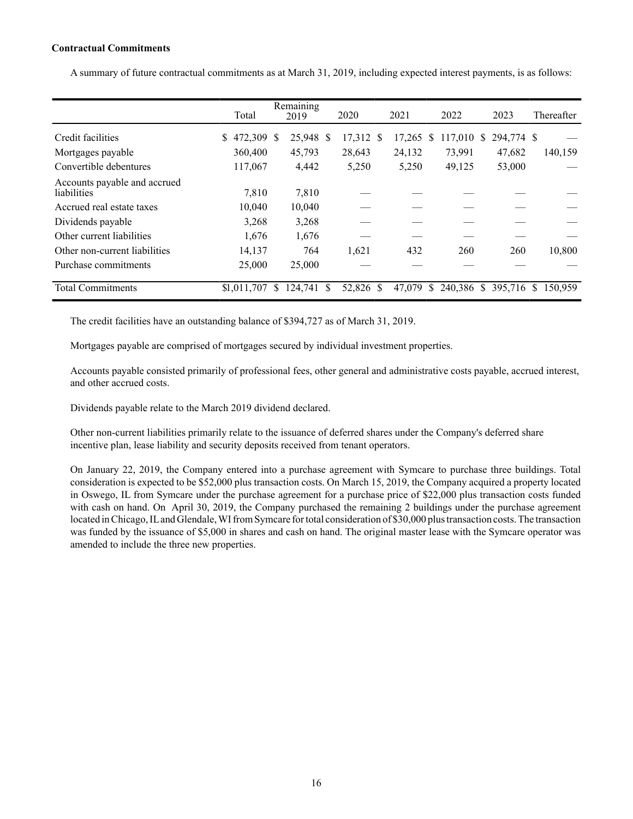# **Contractual Commitments**

A summary of future contractual commitments as at March 31, 2019, including expected interest payments, is as follows:

|                                             | Total            |   | Remaining<br>2019 |   | 2020      | 2021   |   | 2022    |              | 2023       |    | Thereafter |
|---------------------------------------------|------------------|---|-------------------|---|-----------|--------|---|---------|--------------|------------|----|------------|
| Credit facilities                           | 472,309 \$<br>\$ |   | 25,948 \$         |   | 17,312 \$ | 17,265 | S | 117.010 | <sup>S</sup> | 294,774 \$ |    |            |
| Mortgages payable                           | 360,400          |   | 45,793            |   | 28,643    | 24,132 |   | 73,991  |              | 47,682     |    | 140,159    |
| Convertible debentures                      | 117,067          |   | 4,442             |   | 5,250     | 5,250  |   | 49,125  |              | 53,000     |    |            |
| Accounts payable and accrued<br>liabilities | 7,810            |   | 7,810             |   |           |        |   |         |              |            |    |            |
| Accrued real estate taxes                   | 10,040           |   | 10,040            |   |           |        |   |         |              |            |    |            |
| Dividends payable                           | 3,268            |   | 3,268             |   |           |        |   |         |              |            |    |            |
| Other current liabilities                   | 1,676            |   | 1,676             |   |           |        |   |         |              |            |    |            |
| Other non-current liabilities               | 14,137           |   | 764               |   | 1,621     | 432    |   | 260     |              | 260        |    | 10,800     |
| Purchase commitments                        | 25,000           |   | 25,000            |   |           |        |   |         |              |            |    |            |
| <b>Total Commitments</b>                    | \$1,011,707      | S | 124.741           | S | 52,826 \$ | 47,079 | S | 240.386 | <sup>S</sup> | 395,716    | S. | 150.959    |

The credit facilities have an outstanding balance of \$394,727 as of March 31, 2019.

Mortgages payable are comprised of mortgages secured by individual investment properties.

Accounts payable consisted primarily of professional fees, other general and administrative costs payable, accrued interest, and other accrued costs.

Dividends payable relate to the March 2019 dividend declared.

Other non-current liabilities primarily relate to the issuance of deferred shares under the Company's deferred share incentive plan, lease liability and security deposits received from tenant operators.

On January 22, 2019, the Company entered into a purchase agreement with Symcare to purchase three buildings. Total consideration is expected to be \$52,000 plus transaction costs. On March 15, 2019, the Company acquired a property located in Oswego, IL from Symcare under the purchase agreement for a purchase price of \$22,000 plus transaction costs funded with cash on hand. On April 30, 2019, the Company purchased the remaining 2 buildings under the purchase agreement located in Chicago, ILand Glendale, WI from Symcare for total consideration of \$30,000 plus transaction costs. The transaction was funded by the issuance of \$5,000 in shares and cash on hand. The original master lease with the Symcare operator was amended to include the three new properties.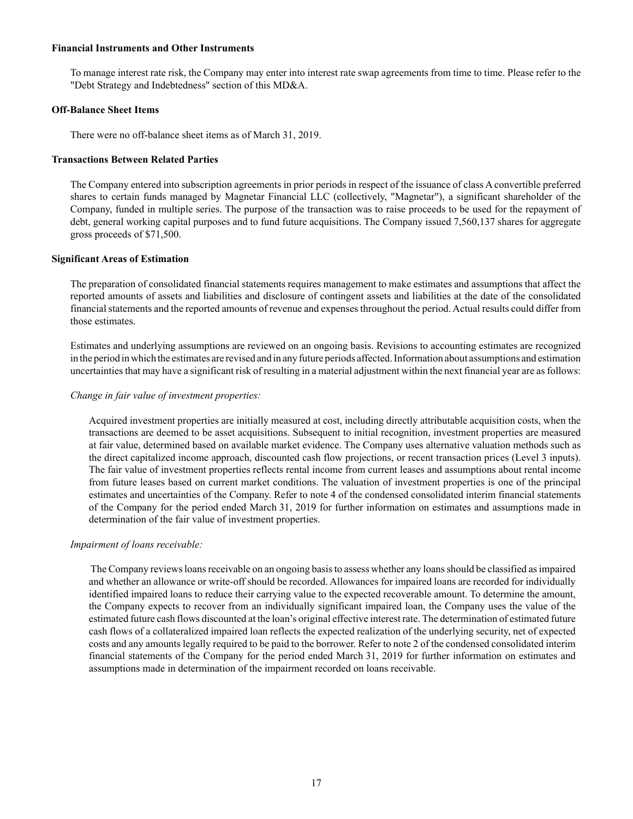#### **Financial Instruments and Other Instruments**

To manage interest rate risk, the Company may enter into interest rate swap agreements from time to time. Please refer to the "Debt Strategy and Indebtedness" section of this MD&A.

#### **Off-Balance Sheet Items**

There were no off-balance sheet items as of March 31, 2019.

#### **Transactions Between Related Parties**

The Company entered into subscription agreements in prior periods in respect of the issuance of class A convertible preferred shares to certain funds managed by Magnetar Financial LLC (collectively, "Magnetar"), a significant shareholder of the Company, funded in multiple series. The purpose of the transaction was to raise proceeds to be used for the repayment of debt, general working capital purposes and to fund future acquisitions. The Company issued 7,560,137 shares for aggregate gross proceeds of \$71,500.

#### **Significant Areas of Estimation**

The preparation of consolidated financial statements requires management to make estimates and assumptions that affect the reported amounts of assets and liabilities and disclosure of contingent assets and liabilities at the date of the consolidated financial statements and the reported amounts of revenue and expenses throughout the period. Actual results could differ from those estimates.

Estimates and underlying assumptions are reviewed on an ongoing basis. Revisions to accounting estimates are recognized in the period in which the estimates are revised and in any future periods affected. Information about assumptions and estimation uncertainties that may have a significant risk of resulting in a material adjustment within the next financial year are as follows:

#### *Change in fair value of investment properties:*

Acquired investment properties are initially measured at cost, including directly attributable acquisition costs, when the transactions are deemed to be asset acquisitions. Subsequent to initial recognition, investment properties are measured at fair value, determined based on available market evidence. The Company uses alternative valuation methods such as the direct capitalized income approach, discounted cash flow projections, or recent transaction prices (Level 3 inputs). The fair value of investment properties reflects rental income from current leases and assumptions about rental income from future leases based on current market conditions. The valuation of investment properties is one of the principal estimates and uncertainties of the Company. Refer to note 4 of the condensed consolidated interim financial statements of the Company for the period ended March 31, 2019 for further information on estimates and assumptions made in determination of the fair value of investment properties.

#### *Impairment of loans receivable:*

The Company reviews loans receivable on an ongoing basis to assess whether any loans should be classified as impaired and whether an allowance or write-off should be recorded. Allowances for impaired loans are recorded for individually identified impaired loans to reduce their carrying value to the expected recoverable amount. To determine the amount, the Company expects to recover from an individually significant impaired loan, the Company uses the value of the estimated future cash flows discounted at the loan's original effective interest rate. The determination of estimated future cash flows of a collateralized impaired loan reflects the expected realization of the underlying security, net of expected costs and any amounts legally required to be paid to the borrower. Refer to note 2 of the condensed consolidated interim financial statements of the Company for the period ended March 31, 2019 for further information on estimates and assumptions made in determination of the impairment recorded on loans receivable.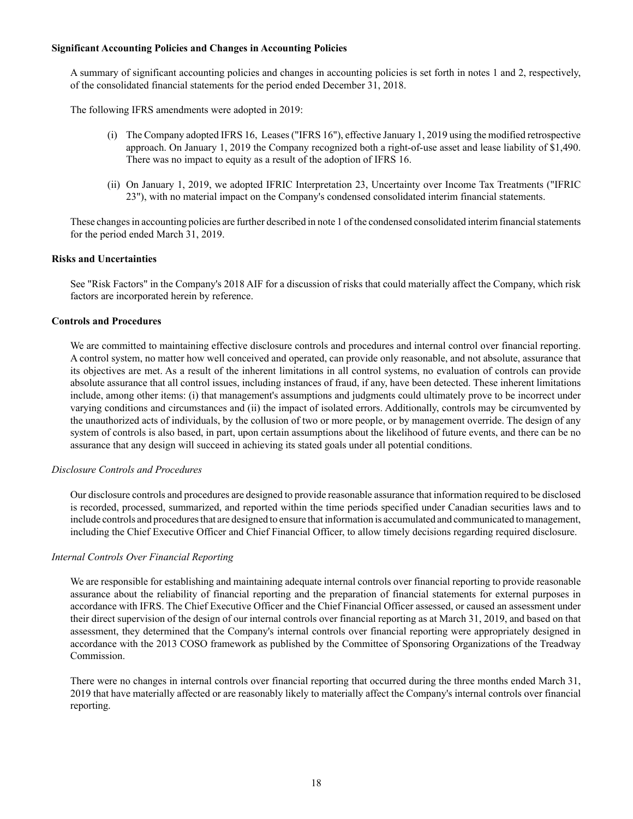## **Significant Accounting Policies and Changes in Accounting Policies**

A summary of significant accounting policies and changes in accounting policies is set forth in notes 1 and 2, respectively, of the consolidated financial statements for the period ended December 31, 2018.

The following IFRS amendments were adopted in 2019:

- (i) The Company adopted IFRS 16, Leases ("IFRS 16"), effective January 1, 2019 using the modified retrospective approach. On January 1, 2019 the Company recognized both a right-of-use asset and lease liability of \$1,490. There was no impact to equity as a result of the adoption of IFRS 16.
- (ii) On January 1, 2019, we adopted IFRIC Interpretation 23, Uncertainty over Income Tax Treatments ("IFRIC 23"), with no material impact on the Company's condensed consolidated interim financial statements.

These changes in accounting policies are further described in note 1 of the condensed consolidated interim financial statements for the period ended March 31, 2019.

## **Risks and Uncertainties**

See "Risk Factors" in the Company's 2018 AIF for a discussion of risks that could materially affect the Company, which risk factors are incorporated herein by reference.

## **Controls and Procedures**

We are committed to maintaining effective disclosure controls and procedures and internal control over financial reporting. A control system, no matter how well conceived and operated, can provide only reasonable, and not absolute, assurance that its objectives are met. As a result of the inherent limitations in all control systems, no evaluation of controls can provide absolute assurance that all control issues, including instances of fraud, if any, have been detected. These inherent limitations include, among other items: (i) that management's assumptions and judgments could ultimately prove to be incorrect under varying conditions and circumstances and (ii) the impact of isolated errors. Additionally, controls may be circumvented by the unauthorized acts of individuals, by the collusion of two or more people, or by management override. The design of any system of controls is also based, in part, upon certain assumptions about the likelihood of future events, and there can be no assurance that any design will succeed in achieving its stated goals under all potential conditions.

#### *Disclosure Controls and Procedures*

Our disclosure controls and procedures are designed to provide reasonable assurance that information required to be disclosed is recorded, processed, summarized, and reported within the time periods specified under Canadian securities laws and to include controls and procedures that are designed to ensure that information is accumulated and communicated to management, including the Chief Executive Officer and Chief Financial Officer, to allow timely decisions regarding required disclosure.

#### *Internal Controls Over Financial Reporting*

We are responsible for establishing and maintaining adequate internal controls over financial reporting to provide reasonable assurance about the reliability of financial reporting and the preparation of financial statements for external purposes in accordance with IFRS. The Chief Executive Officer and the Chief Financial Officer assessed, or caused an assessment under their direct supervision of the design of our internal controls over financial reporting as at March 31, 2019, and based on that assessment, they determined that the Company's internal controls over financial reporting were appropriately designed in accordance with the 2013 COSO framework as published by the Committee of Sponsoring Organizations of the Treadway Commission.

There were no changes in internal controls over financial reporting that occurred during the three months ended March 31, 2019 that have materially affected or are reasonably likely to materially affect the Company's internal controls over financial reporting.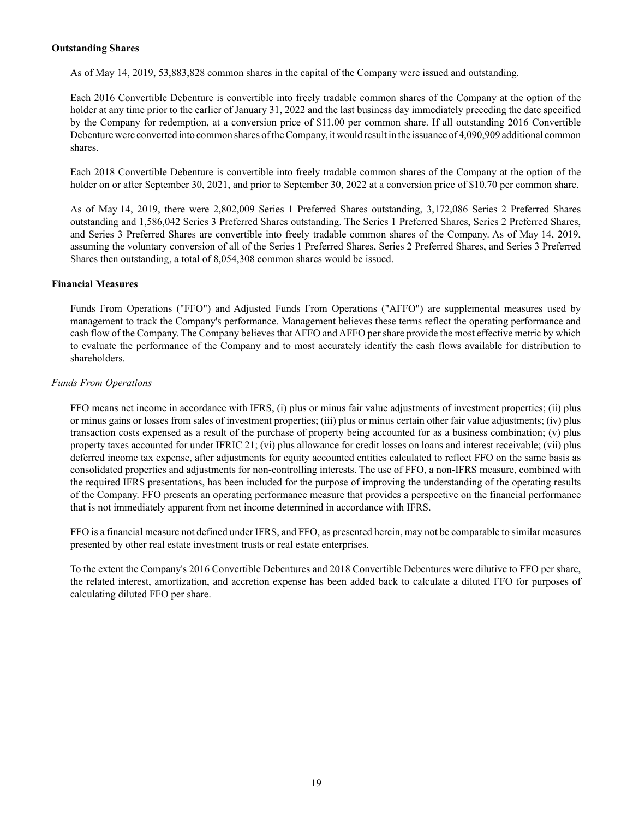#### **Outstanding Shares**

As of May 14, 2019, 53,883,828 common shares in the capital of the Company were issued and outstanding.

Each 2016 Convertible Debenture is convertible into freely tradable common shares of the Company at the option of the holder at any time prior to the earlier of January 31, 2022 and the last business day immediately preceding the date specified by the Company for redemption, at a conversion price of \$11.00 per common share. If all outstanding 2016 Convertible Debenture were converted into common shares of the Company, it would result in the issuance of 4,090,909 additional common shares.

Each 2018 Convertible Debenture is convertible into freely tradable common shares of the Company at the option of the holder on or after September 30, 2021, and prior to September 30, 2022 at a conversion price of \$10.70 per common share.

As of May 14, 2019, there were 2,802,009 Series 1 Preferred Shares outstanding, 3,172,086 Series 2 Preferred Shares outstanding and 1,586,042 Series 3 Preferred Shares outstanding. The Series 1 Preferred Shares, Series 2 Preferred Shares, and Series 3 Preferred Shares are convertible into freely tradable common shares of the Company. As of May 14, 2019, assuming the voluntary conversion of all of the Series 1 Preferred Shares, Series 2 Preferred Shares, and Series 3 Preferred Shares then outstanding, a total of 8,054,308 common shares would be issued.

## **Financial Measures**

Funds From Operations ("FFO") and Adjusted Funds From Operations ("AFFO") are supplemental measures used by management to track the Company's performance. Management believes these terms reflect the operating performance and cash flow of the Company. The Company believes that AFFO and AFFO per share provide the most effective metric by which to evaluate the performance of the Company and to most accurately identify the cash flows available for distribution to shareholders.

## *Funds From Operations*

FFO means net income in accordance with IFRS, (i) plus or minus fair value adjustments of investment properties; (ii) plus or minus gains or losses from sales of investment properties; (iii) plus or minus certain other fair value adjustments; (iv) plus transaction costs expensed as a result of the purchase of property being accounted for as a business combination; (v) plus property taxes accounted for under IFRIC 21; (vi) plus allowance for credit losses on loans and interest receivable; (vii) plus deferred income tax expense, after adjustments for equity accounted entities calculated to reflect FFO on the same basis as consolidated properties and adjustments for non-controlling interests. The use of FFO, a non-IFRS measure, combined with the required IFRS presentations, has been included for the purpose of improving the understanding of the operating results of the Company. FFO presents an operating performance measure that provides a perspective on the financial performance that is not immediately apparent from net income determined in accordance with IFRS.

FFO is a financial measure not defined under IFRS, and FFO, as presented herein, may not be comparable to similar measures presented by other real estate investment trusts or real estate enterprises.

To the extent the Company's 2016 Convertible Debentures and 2018 Convertible Debentures were dilutive to FFO per share, the related interest, amortization, and accretion expense has been added back to calculate a diluted FFO for purposes of calculating diluted FFO per share.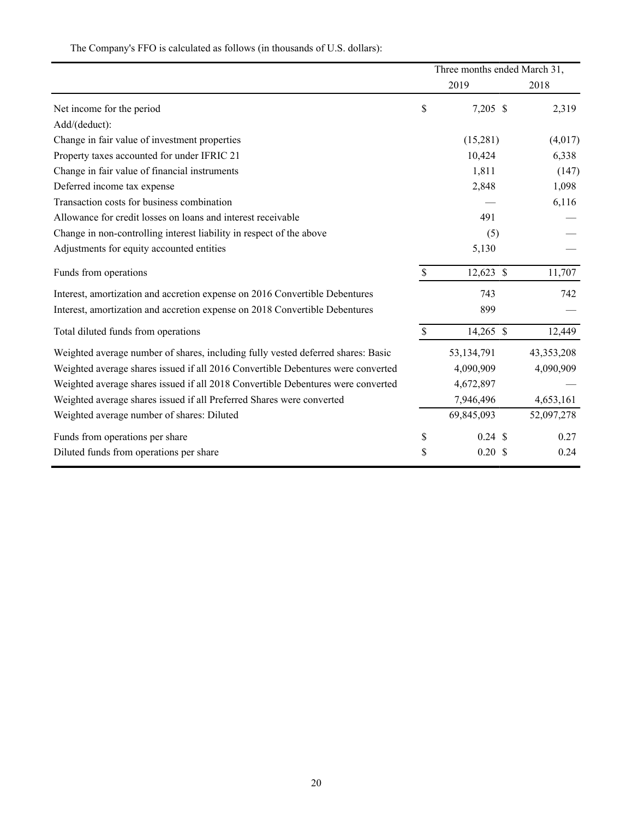The Company's FFO is calculated as follows (in thousands of U.S. dollars):

|                                                                                  | Three months ended March 31, |                    |            |  |
|----------------------------------------------------------------------------------|------------------------------|--------------------|------------|--|
|                                                                                  |                              | 2019               | 2018       |  |
| Net income for the period                                                        | \$                           | 7,205 \$           | 2,319      |  |
| Add/(deduct):                                                                    |                              |                    |            |  |
| Change in fair value of investment properties                                    |                              | (15,281)           | (4,017)    |  |
| Property taxes accounted for under IFRIC 21                                      |                              | 10,424             | 6,338      |  |
| Change in fair value of financial instruments                                    |                              | 1,811              | (147)      |  |
| Deferred income tax expense                                                      |                              | 2,848              | 1,098      |  |
| Transaction costs for business combination                                       |                              |                    | 6,116      |  |
| Allowance for credit losses on loans and interest receivable                     |                              | 491                |            |  |
| Change in non-controlling interest liability in respect of the above             |                              | (5)                |            |  |
| Adjustments for equity accounted entities                                        |                              | 5,130              |            |  |
| Funds from operations                                                            | $\mathsf{\$}$                | 12,623 \$          | 11,707     |  |
| Interest, amortization and accretion expense on 2016 Convertible Debentures      |                              | 743                | 742        |  |
| Interest, amortization and accretion expense on 2018 Convertible Debentures      |                              | 899                |            |  |
| Total diluted funds from operations                                              | \$                           | 14,265 \$          | 12,449     |  |
| Weighted average number of shares, including fully vested deferred shares: Basic |                              | 53,134,791         | 43,353,208 |  |
| Weighted average shares issued if all 2016 Convertible Debentures were converted |                              | 4,090,909          | 4,090,909  |  |
| Weighted average shares issued if all 2018 Convertible Debentures were converted |                              | 4,672,897          |            |  |
| Weighted average shares issued if all Preferred Shares were converted            |                              | 7,946,496          | 4,653,161  |  |
| Weighted average number of shares: Diluted                                       |                              | 69,845,093         | 52,097,278 |  |
| Funds from operations per share                                                  | \$                           | $0.24 \text{ } $$  | 0.27       |  |
| Diluted funds from operations per share                                          | \$                           | $0.20 \text{ }$ \$ | 0.24       |  |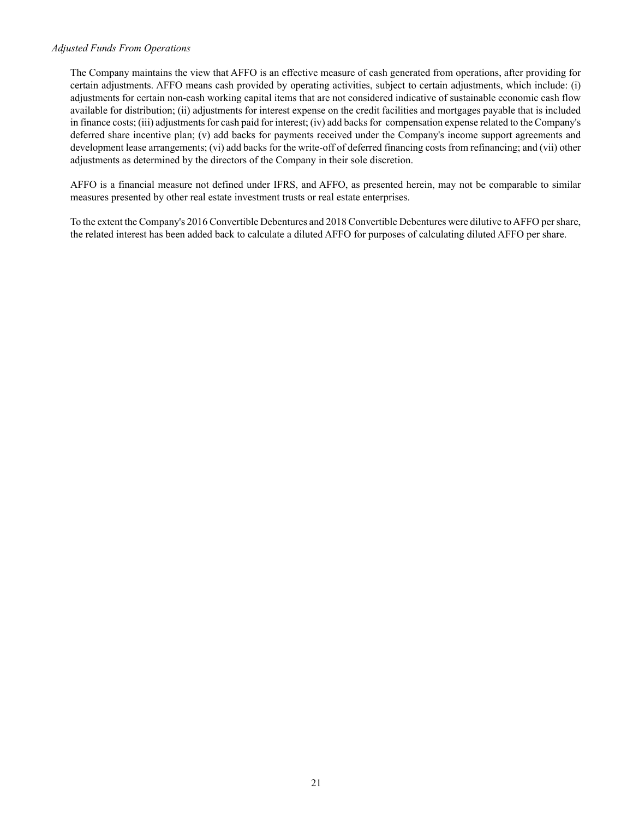#### *Adjusted Funds From Operations*

The Company maintains the view that AFFO is an effective measure of cash generated from operations, after providing for certain adjustments. AFFO means cash provided by operating activities, subject to certain adjustments, which include: (i) adjustments for certain non-cash working capital items that are not considered indicative of sustainable economic cash flow available for distribution; (ii) adjustments for interest expense on the credit facilities and mortgages payable that is included in finance costs; (iii) adjustments for cash paid for interest; (iv) add backs for compensation expense related to the Company's deferred share incentive plan; (v) add backs for payments received under the Company's income support agreements and development lease arrangements; (vi) add backs for the write-off of deferred financing costs from refinancing; and (vii) other adjustments as determined by the directors of the Company in their sole discretion.

AFFO is a financial measure not defined under IFRS, and AFFO, as presented herein, may not be comparable to similar measures presented by other real estate investment trusts or real estate enterprises.

To the extent the Company's 2016 Convertible Debentures and 2018 Convertible Debentures were dilutive to AFFO per share, the related interest has been added back to calculate a diluted AFFO for purposes of calculating diluted AFFO per share.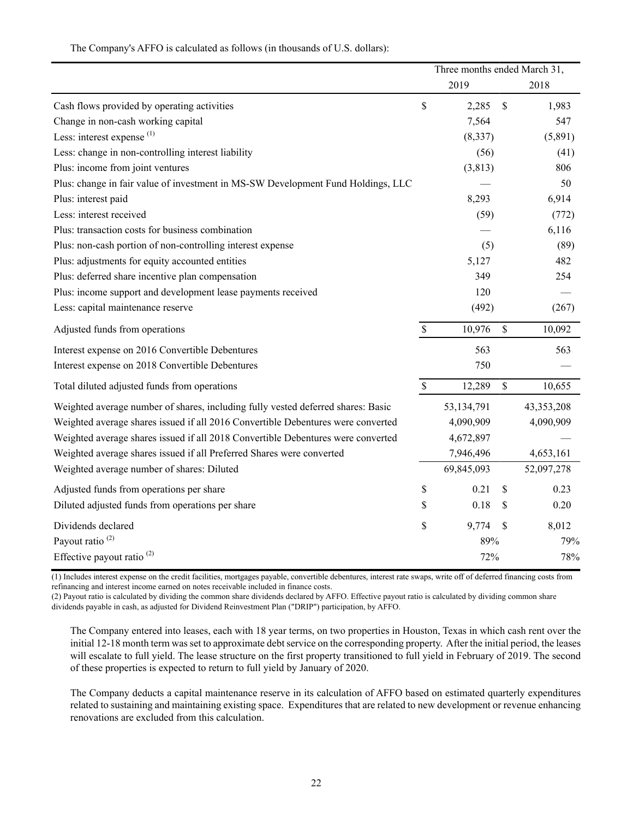| The Company's AFFO is calculated as follows (in thousands of U.S. dollars): |  |  |  |
|-----------------------------------------------------------------------------|--|--|--|
|-----------------------------------------------------------------------------|--|--|--|

|                                                                                  |             | Three months ended March 31, |               |              |  |
|----------------------------------------------------------------------------------|-------------|------------------------------|---------------|--------------|--|
|                                                                                  |             | 2019                         |               | 2018         |  |
| Cash flows provided by operating activities                                      | \$          | 2,285                        | \$            | 1,983        |  |
| Change in non-cash working capital                                               |             | 7,564                        |               | 547          |  |
| Less: interest expense $(1)$                                                     |             | (8, 337)                     |               | (5,891)      |  |
| Less: change in non-controlling interest liability                               |             | (56)                         |               | (41)         |  |
| Plus: income from joint ventures                                                 |             | (3, 813)                     |               | 806          |  |
| Plus: change in fair value of investment in MS-SW Development Fund Holdings, LLC |             |                              |               | 50           |  |
| Plus: interest paid                                                              |             | 8,293                        |               | 6,914        |  |
| Less: interest received                                                          |             | (59)                         |               | (772)        |  |
| Plus: transaction costs for business combination                                 |             |                              |               | 6,116        |  |
| Plus: non-cash portion of non-controlling interest expense                       |             | (5)                          |               | (89)         |  |
| Plus: adjustments for equity accounted entities                                  |             | 5,127                        |               | 482          |  |
| Plus: deferred share incentive plan compensation                                 |             | 349                          |               | 254          |  |
| Plus: income support and development lease payments received                     |             | 120                          |               |              |  |
| Less: capital maintenance reserve                                                |             | (492)                        |               | (267)        |  |
| Adjusted funds from operations                                                   | $\mathbb S$ | 10,976                       | \$            | 10,092       |  |
| Interest expense on 2016 Convertible Debentures                                  |             | 563                          |               | 563          |  |
| Interest expense on 2018 Convertible Debentures                                  |             | 750                          |               |              |  |
| Total diluted adjusted funds from operations                                     | $\mathbb S$ | 12,289                       | $\mathsf{\$}$ | 10,655       |  |
| Weighted average number of shares, including fully vested deferred shares: Basic |             | 53,134,791                   |               | 43, 353, 208 |  |
| Weighted average shares issued if all 2016 Convertible Debentures were converted |             | 4,090,909                    |               | 4,090,909    |  |
| Weighted average shares issued if all 2018 Convertible Debentures were converted |             | 4,672,897                    |               |              |  |
| Weighted average shares issued if all Preferred Shares were converted            |             | 7,946,496                    |               | 4,653,161    |  |
| Weighted average number of shares: Diluted                                       |             | 69,845,093                   |               | 52,097,278   |  |
| Adjusted funds from operations per share                                         | \$          | 0.21                         | \$            | 0.23         |  |
| Diluted adjusted funds from operations per share                                 | \$          | 0.18                         | \$            | 0.20         |  |
| Dividends declared                                                               | \$          | 9,774                        | $\mathcal{S}$ | 8,012        |  |
| Payout ratio <sup>(2)</sup>                                                      |             | 89%                          |               | 79%          |  |
| Effective payout ratio <sup>(2)</sup>                                            |             | 72%                          |               | 78%          |  |

(1) Includes interest expense on the credit facilities, mortgages payable, convertible debentures, interest rate swaps, write off of deferred financing costs from refinancing and interest income earned on notes receivable included in finance costs.

(2) Payout ratio is calculated by dividing the common share dividends declared by AFFO. Effective payout ratio is calculated by dividing common share dividends payable in cash, as adjusted for Dividend Reinvestment Plan ("DRIP") participation, by AFFO.

The Company entered into leases, each with 18 year terms, on two properties in Houston, Texas in which cash rent over the initial 12-18 month term was set to approximate debt service on the corresponding property. After the initial period, the leases will escalate to full yield. The lease structure on the first property transitioned to full yield in February of 2019. The second of these properties is expected to return to full yield by January of 2020.

The Company deducts a capital maintenance reserve in its calculation of AFFO based on estimated quarterly expenditures related to sustaining and maintaining existing space. Expenditures that are related to new development or revenue enhancing renovations are excluded from this calculation.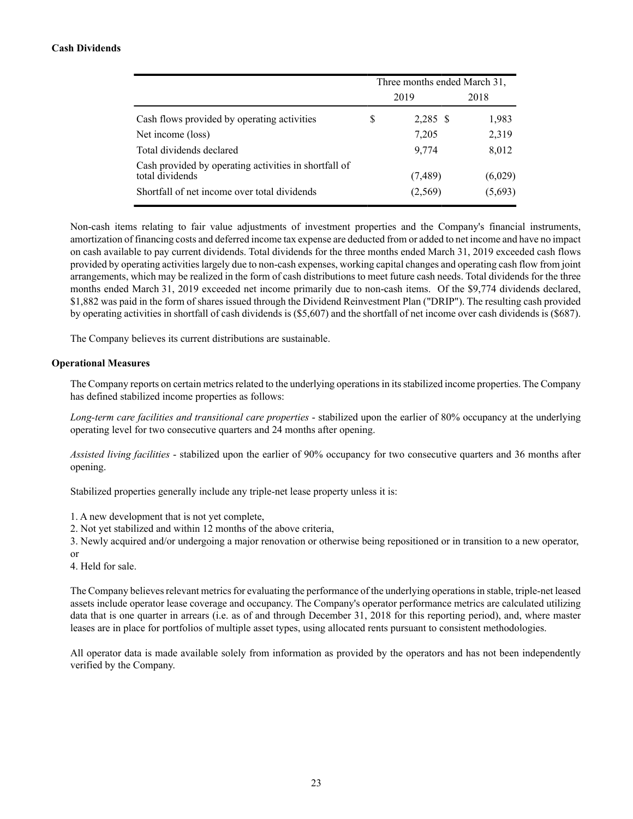# **Cash Dividends**

|                                                                                                                          | Three months ended March 31, |                    |                    |  |
|--------------------------------------------------------------------------------------------------------------------------|------------------------------|--------------------|--------------------|--|
|                                                                                                                          |                              | 2019               | 2018               |  |
| Cash flows provided by operating activities                                                                              | S                            | 2,285 \$           | 1,983              |  |
| Net income (loss)                                                                                                        |                              | 7,205              | 2,319              |  |
| Total dividends declared                                                                                                 |                              | 9.774              | 8,012              |  |
| Cash provided by operating activities in shortfall of<br>total dividends<br>Shortfall of net income over total dividends |                              | (7,489)<br>(2,569) | (6,029)<br>(5,693) |  |

Non-cash items relating to fair value adjustments of investment properties and the Company's financial instruments, amortization of financing costs and deferred income tax expense are deducted from or added to net income and have no impact on cash available to pay current dividends. Total dividends for the three months ended March 31, 2019 exceeded cash flows provided by operating activities largely due to non-cash expenses, working capital changes and operating cash flow from joint arrangements, which may be realized in the form of cash distributions to meet future cash needs. Total dividends for the three months ended March 31, 2019 exceeded net income primarily due to non-cash items. Of the \$9,774 dividends declared, \$1,882 was paid in the form of shares issued through the Dividend Reinvestment Plan ("DRIP"). The resulting cash provided by operating activities in shortfall of cash dividends is (\$5,607) and the shortfall of net income over cash dividends is (\$687).

The Company believes its current distributions are sustainable.

## **Operational Measures**

The Company reports on certain metrics related to the underlying operations in its stabilized income properties. The Company has defined stabilized income properties as follows:

*Long-term care facilities and transitional care properties* - stabilized upon the earlier of 80% occupancy at the underlying operating level for two consecutive quarters and 24 months after opening.

*Assisted living facilities* - stabilized upon the earlier of 90% occupancy for two consecutive quarters and 36 months after opening.

Stabilized properties generally include any triple-net lease property unless it is:

1. A new development that is not yet complete,

2. Not yet stabilized and within 12 months of the above criteria,

3. Newly acquired and/or undergoing a major renovation or otherwise being repositioned or in transition to a new operator, or

4. Held for sale.

The Company believes relevant metrics for evaluating the performance of the underlying operations in stable, triple-net leased assets include operator lease coverage and occupancy. The Company's operator performance metrics are calculated utilizing data that is one quarter in arrears (i.e. as of and through December 31, 2018 for this reporting period), and, where master leases are in place for portfolios of multiple asset types, using allocated rents pursuant to consistent methodologies.

All operator data is made available solely from information as provided by the operators and has not been independently verified by the Company.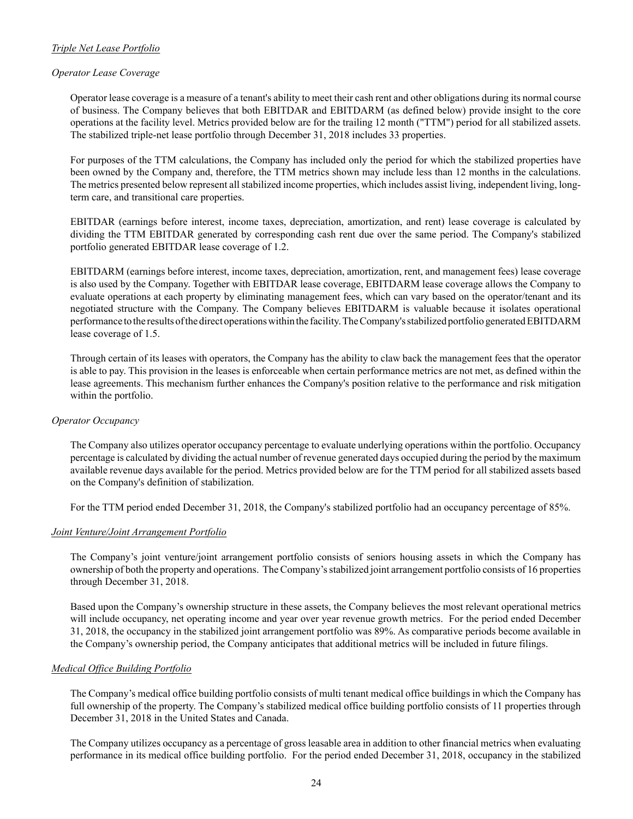# *Triple Net Lease Portfolio*

# *Operator Lease Coverage*

Operator lease coverage is a measure of a tenant's ability to meet their cash rent and other obligations during its normal course of business. The Company believes that both EBITDAR and EBITDARM (as defined below) provide insight to the core operations at the facility level. Metrics provided below are for the trailing 12 month ("TTM") period for all stabilized assets. The stabilized triple-net lease portfolio through December 31, 2018 includes 33 properties.

For purposes of the TTM calculations, the Company has included only the period for which the stabilized properties have been owned by the Company and, therefore, the TTM metrics shown may include less than 12 months in the calculations. The metrics presented below represent all stabilized income properties, which includes assist living, independent living, longterm care, and transitional care properties.

EBITDAR (earnings before interest, income taxes, depreciation, amortization, and rent) lease coverage is calculated by dividing the TTM EBITDAR generated by corresponding cash rent due over the same period. The Company's stabilized portfolio generated EBITDAR lease coverage of 1.2.

EBITDARM (earnings before interest, income taxes, depreciation, amortization, rent, and management fees) lease coverage is also used by the Company. Together with EBITDAR lease coverage, EBITDARM lease coverage allows the Company to evaluate operations at each property by eliminating management fees, which can vary based on the operator/tenant and its negotiated structure with the Company. The Company believes EBITDARM is valuable because it isolates operational performance to the results of the direct operations within the facility. The Company's stabilized portfolio generated EBITDARM lease coverage of 1.5.

Through certain of its leases with operators, the Company has the ability to claw back the management fees that the operator is able to pay. This provision in the leases is enforceable when certain performance metrics are not met, as defined within the lease agreements. This mechanism further enhances the Company's position relative to the performance and risk mitigation within the portfolio.

# *Operator Occupancy*

The Company also utilizes operator occupancy percentage to evaluate underlying operations within the portfolio. Occupancy percentage is calculated by dividing the actual number of revenue generated days occupied during the period by the maximum available revenue days available for the period. Metrics provided below are for the TTM period for all stabilized assets based on the Company's definition of stabilization.

For the TTM period ended December 31, 2018, the Company's stabilized portfolio had an occupancy percentage of 85%.

# *Joint Venture/Joint Arrangement Portfolio*

The Company's joint venture/joint arrangement portfolio consists of seniors housing assets in which the Company has ownership of both the property and operations. The Company's stabilized joint arrangement portfolio consists of 16 properties through December 31, 2018.

Based upon the Company's ownership structure in these assets, the Company believes the most relevant operational metrics will include occupancy, net operating income and year over year revenue growth metrics. For the period ended December 31, 2018, the occupancy in the stabilized joint arrangement portfolio was 89%. As comparative periods become available in the Company's ownership period, the Company anticipates that additional metrics will be included in future filings.

# *Medical Office Building Portfolio*

The Company's medical office building portfolio consists of multi tenant medical office buildings in which the Company has full ownership of the property. The Company's stabilized medical office building portfolio consists of 11 properties through December 31, 2018 in the United States and Canada.

The Company utilizes occupancy as a percentage of gross leasable area in addition to other financial metrics when evaluating performance in its medical office building portfolio. For the period ended December 31, 2018, occupancy in the stabilized